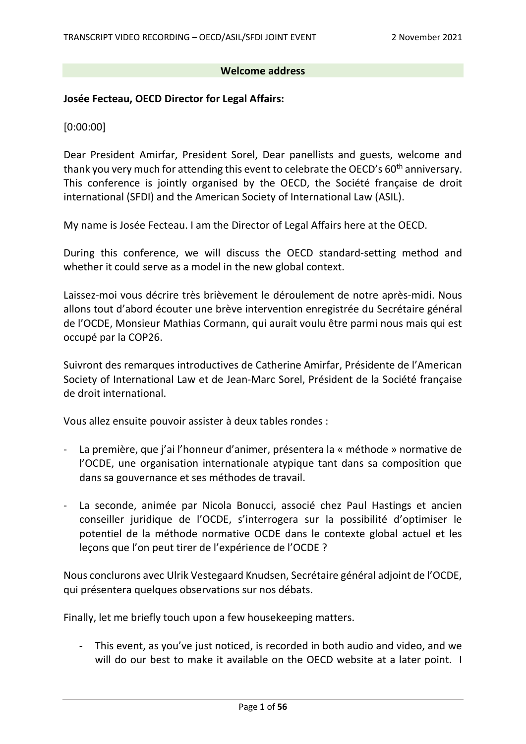#### **Welcome address**

#### **Josée Fecteau, OECD Director for Legal Affairs:**

[0:00:00]

Dear President Amirfar, President Sorel, Dear panellists and guests, welcome and thank you very much for attending this event to celebrate the OECD's 60<sup>th</sup> anniversary. This conference is jointly organised by the OECD, the Société française de droit international (SFDI) and the American Society of International Law (ASIL).

My name is Josée Fecteau. I am the Director of Legal Affairs here at the OECD.

During this conference, we will discuss the OECD standard-setting method and whether it could serve as a model in the new global context.

Laissez-moi vous décrire très brièvement le déroulement de notre après-midi. Nous allons tout d'abord écouter une brève intervention enregistrée du Secrétaire général de l'OCDE, Monsieur Mathias Cormann, qui aurait voulu être parmi nous mais qui est occupé par la COP26.

Suivront des remarques introductives de Catherine Amirfar, Présidente de l'American Society of International Law et de Jean-Marc Sorel, Président de la Société française de droit international.

Vous allez ensuite pouvoir assister à deux tables rondes :

- La première, que j'ai l'honneur d'animer, présentera la « méthode » normative de l'OCDE, une organisation internationale atypique tant dans sa composition que dans sa gouvernance et ses méthodes de travail.
- La seconde, animée par Nicola Bonucci, associé chez Paul Hastings et ancien conseiller juridique de l'OCDE, s'interrogera sur la possibilité d'optimiser le potentiel de la méthode normative OCDE dans le contexte global actuel et les leçons que l'on peut tirer de l'expérience de l'OCDE ?

Nous conclurons avec Ulrik Vestegaard Knudsen, Secrétaire général adjoint de l'OCDE, qui présentera quelques observations sur nos débats.

Finally, let me briefly touch upon a few housekeeping matters.

- This event, as you've just noticed, is recorded in both audio and video, and we will do our best to make it available on the OECD website at a later point. I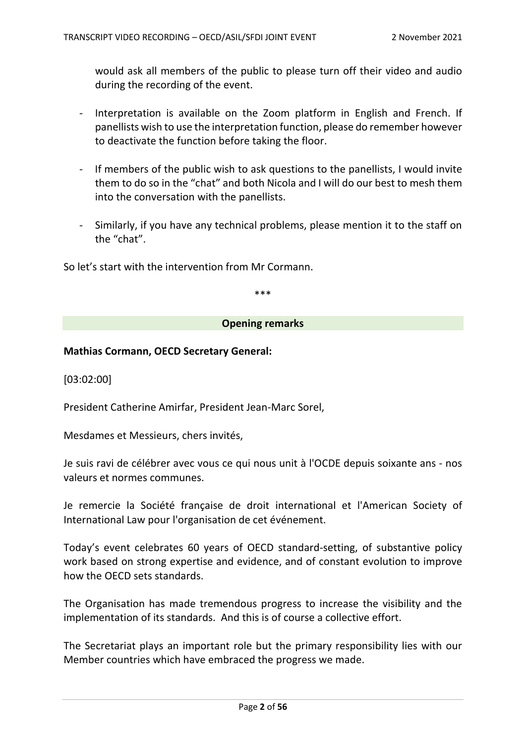would ask all members of the public to please turn off their video and audio during the recording of the event.

- Interpretation is available on the Zoom platform in English and French. If panellists wish to use the interpretation function, please do remember however to deactivate the function before taking the floor.
- If members of the public wish to ask questions to the panellists, I would invite them to do so in the "chat" and both Nicola and I will do our best to mesh them into the conversation with the panellists.
- Similarly, if you have any technical problems, please mention it to the staff on the "chat".

So let's start with the intervention from Mr Cormann.

\*\*\*

#### **Opening remarks**

### **Mathias Cormann, OECD Secretary General:**

[03:02:00]

President Catherine Amirfar, President Jean-Marc Sorel,

Mesdames et Messieurs, chers invités,

Je suis ravi de célébrer avec vous ce qui nous unit à l'OCDE depuis soixante ans - nos valeurs et normes communes.

Je remercie la Société française de droit international et l'American Society of International Law pour l'organisation de cet événement.

Today's event celebrates 60 years of OECD standard-setting, of substantive policy work based on strong expertise and evidence, and of constant evolution to improve how the OECD sets standards.

The Organisation has made tremendous progress to increase the visibility and the implementation of its standards. And this is of course a collective effort.

The Secretariat plays an important role but the primary responsibility lies with our Member countries which have embraced the progress we made.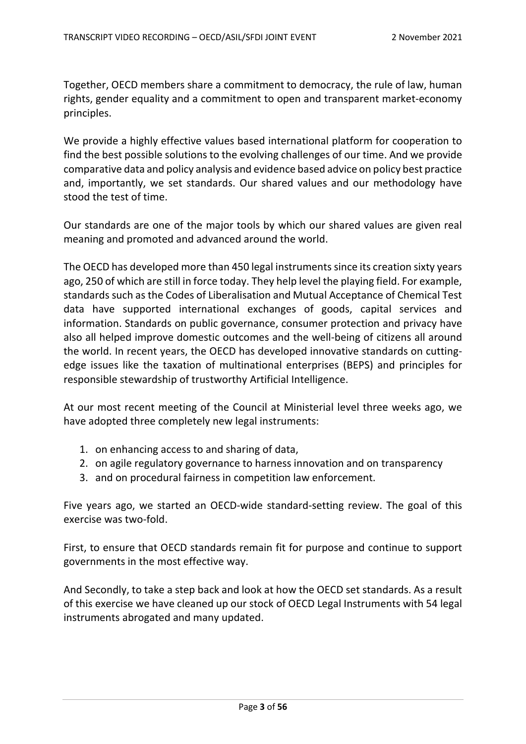Together, OECD members share a commitment to democracy, the rule of law, human rights, gender equality and a commitment to open and transparent market-economy principles.

We provide a highly effective values based international platform for cooperation to find the best possible solutions to the evolving challenges of our time. And we provide comparative data and policy analysis and evidence based advice on policy best practice and, importantly, we set standards. Our shared values and our methodology have stood the test of time.

Our standards are one of the major tools by which our shared values are given real meaning and promoted and advanced around the world.

The OECD has developed more than 450 legal instruments since its creation sixty years ago, 250 of which are still in force today. They help level the playing field. For example, standards such as the Codes of Liberalisation and Mutual Acceptance of Chemical Test data have supported international exchanges of goods, capital services and information. Standards on public governance, consumer protection and privacy have also all helped improve domestic outcomes and the well-being of citizens all around the world. In recent years, the OECD has developed innovative standards on cuttingedge issues like the taxation of multinational enterprises (BEPS) and principles for responsible stewardship of trustworthy Artificial Intelligence.

At our most recent meeting of the Council at Ministerial level three weeks ago, we have adopted three completely new legal instruments:

- 1. on enhancing access to and sharing of data,
- 2. on agile regulatory governance to harness innovation and on transparency
- 3. and on procedural fairness in competition law enforcement.

Five years ago, we started an OECD-wide standard-setting review. The goal of this exercise was two-fold.

First, to ensure that OECD standards remain fit for purpose and continue to support governments in the most effective way.

And Secondly, to take a step back and look at how the OECD set standards. As a result of this exercise we have cleaned up our stock of OECD Legal Instruments with 54 legal instruments abrogated and many updated.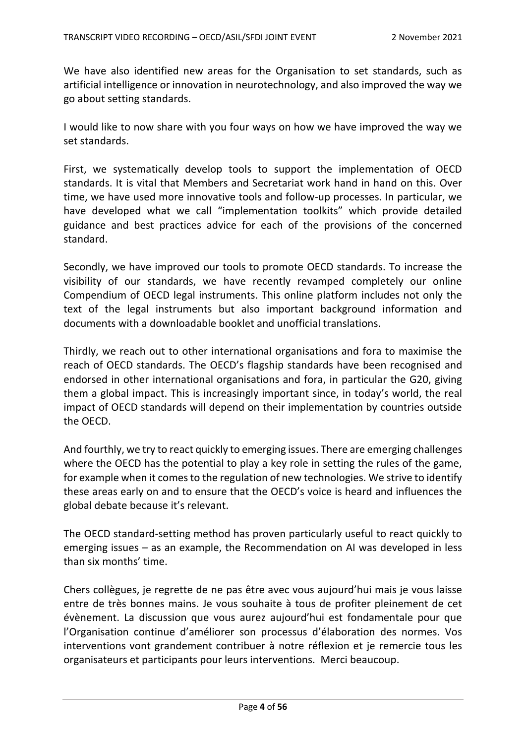We have also identified new areas for the Organisation to set standards, such as artificial intelligence or innovation in neurotechnology, and also improved the way we go about setting standards.

I would like to now share with you four ways on how we have improved the way we set standards.

First, we systematically develop tools to support the implementation of OECD standards. It is vital that Members and Secretariat work hand in hand on this. Over time, we have used more innovative tools and follow-up processes. In particular, we have developed what we call "implementation toolkits" which provide detailed guidance and best practices advice for each of the provisions of the concerned standard.

Secondly, we have improved our tools to promote OECD standards. To increase the visibility of our standards, we have recently revamped completely our online Compendium of OECD legal instruments. This online platform includes not only the text of the legal instruments but also important background information and documents with a downloadable booklet and unofficial translations.

Thirdly, we reach out to other international organisations and fora to maximise the reach of OECD standards. The OECD's flagship standards have been recognised and endorsed in other international organisations and fora, in particular the G20, giving them a global impact. This is increasingly important since, in today's world, the real impact of OECD standards will depend on their implementation by countries outside the OECD.

And fourthly, we try to react quickly to emerging issues. There are emerging challenges where the OECD has the potential to play a key role in setting the rules of the game, for example when it comes to the regulation of new technologies. We strive to identify these areas early on and to ensure that the OECD's voice is heard and influences the global debate because it's relevant.

The OECD standard-setting method has proven particularly useful to react quickly to emerging issues – as an example, the Recommendation on AI was developed in less than six months' time.

Chers collègues, je regrette de ne pas être avec vous aujourd'hui mais je vous laisse entre de très bonnes mains. Je vous souhaite à tous de profiter pleinement de cet évènement. La discussion que vous aurez aujourd'hui est fondamentale pour que l'Organisation continue d'améliorer son processus d'élaboration des normes. Vos interventions vont grandement contribuer à notre réflexion et je remercie tous les organisateurs et participants pour leurs interventions. Merci beaucoup.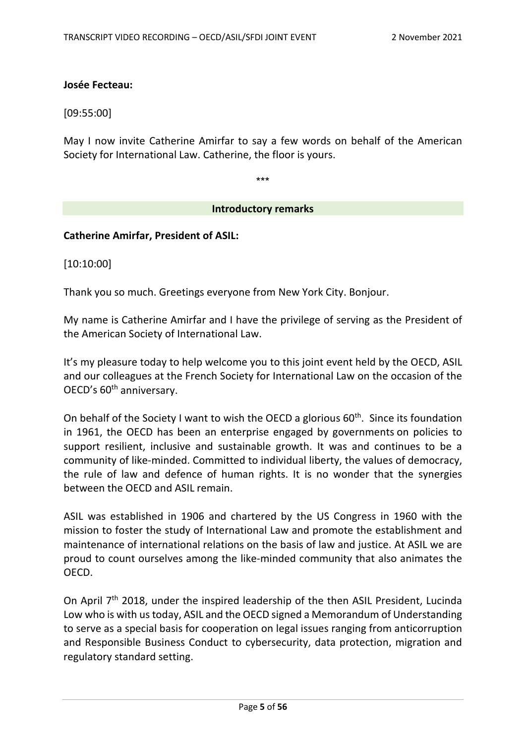#### **Josée Fecteau:**

[09:55:00]

May I now invite Catherine Amirfar to say a few words on behalf of the American Society for International Law. Catherine, the floor is yours.

\*\*\*

#### **Introductory remarks**

**Catherine Amirfar, President of ASIL:** 

[10:10:00]

Thank you so much. Greetings everyone from New York City. Bonjour.

My name is Catherine Amirfar and I have the privilege of serving as the President of the American Society of International Law.

It's my pleasure today to help welcome you to this joint event held by the OECD, ASIL and our colleagues at the French Society for International Law on the occasion of the OECD's 60<sup>th</sup> anniversary.

On behalf of the Society I want to wish the OECD a glorious  $60<sup>th</sup>$ . Since its foundation in 1961, the OECD has been an enterprise engaged by governments on policies to support resilient, inclusive and sustainable growth. It was and continues to be a community of like-minded. Committed to individual liberty, the values of democracy, the rule of law and defence of human rights. It is no wonder that the synergies between the OECD and ASIL remain.

ASIL was established in 1906 and chartered by the US Congress in 1960 with the mission to foster the study of International Law and promote the establishment and maintenance of international relations on the basis of law and justice. At ASIL we are proud to count ourselves among the like-minded community that also animates the OECD.

On April 7<sup>th</sup> 2018, under the inspired leadership of the then ASIL President, Lucinda Low who is with us today, ASIL and the OECD signed a Memorandum of Understanding to serve as a special basis for cooperation on legal issues ranging from anticorruption and Responsible Business Conduct to cybersecurity, data protection, migration and regulatory standard setting.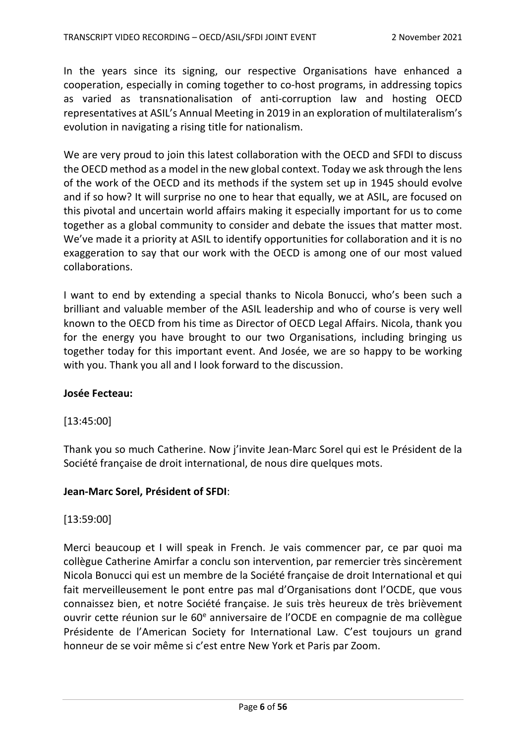In the years since its signing, our respective Organisations have enhanced a cooperation, especially in coming together to co-host programs, in addressing topics as varied as transnationalisation of anti-corruption law and hosting OECD representatives at ASIL's Annual Meeting in 2019 in an exploration of multilateralism's evolution in navigating a rising title for nationalism.

We are very proud to join this latest collaboration with the OECD and SFDI to discuss the OECD method as a model in the new global context. Today we ask through the lens of the work of the OECD and its methods if the system set up in 1945 should evolve and if so how? It will surprise no one to hear that equally, we at ASIL, are focused on this pivotal and uncertain world affairs making it especially important for us to come together as a global community to consider and debate the issues that matter most. We've made it a priority at ASIL to identify opportunities for collaboration and it is no exaggeration to say that our work with the OECD is among one of our most valued collaborations.

I want to end by extending a special thanks to Nicola Bonucci, who's been such a brilliant and valuable member of the ASIL leadership and who of course is very well known to the OECD from his time as Director of OECD Legal Affairs. Nicola, thank you for the energy you have brought to our two Organisations, including bringing us together today for this important event. And Josée, we are so happy to be working with you. Thank you all and I look forward to the discussion.

### **Josée Fecteau:**

### [13:45:00]

Thank you so much Catherine. Now j'invite Jean-Marc Sorel qui est le Président de la Société française de droit international, de nous dire quelques mots.

### **Jean-Marc Sorel, Président of SFDI**:

### [13:59:00]

Merci beaucoup et I will speak in French. Je vais commencer par, ce par quoi ma collègue Catherine Amirfar a conclu son intervention, par remercier très sincèrement Nicola Bonucci qui est un membre de la Société française de droit International et qui fait merveilleusement le pont entre pas mal d'Organisations dont l'OCDE, que vous connaissez bien, et notre Société française. Je suis très heureux de très brièvement ouvrir cette réunion sur le 60<sup>e</sup> anniversaire de l'OCDE en compagnie de ma collègue Présidente de l'American Society for International Law. C'est toujours un grand honneur de se voir même si c'est entre New York et Paris par Zoom.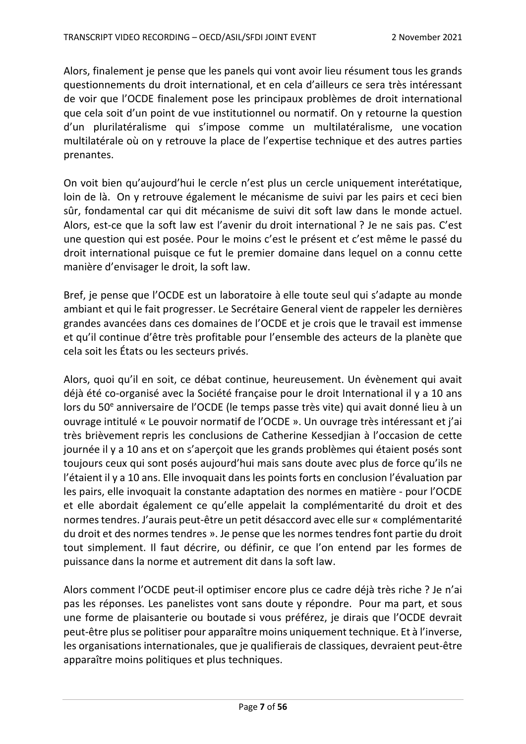Alors, finalement je pense que les panels qui vont avoir lieu résument tous les grands questionnements du droit international, et en cela d'ailleurs ce sera très intéressant de voir que l'OCDE finalement pose les principaux problèmes de droit international que cela soit d'un point de vue institutionnel ou normatif. On y retourne la question d'un plurilatéralisme qui s'impose comme un multilatéralisme, une vocation multilatérale où on y retrouve la place de l'expertise technique et des autres parties prenantes.

On voit bien qu'aujourd'hui le cercle n'est plus un cercle uniquement interétatique, loin de là. On y retrouve également le mécanisme de suivi par les pairs et ceci bien sûr, fondamental car qui dit mécanisme de suivi dit soft law dans le monde actuel. Alors, est-ce que la soft law est l'avenir du droit international ? Je ne sais pas. C'est une question qui est posée. Pour le moins c'est le présent et c'est même le passé du droit international puisque ce fut le premier domaine dans lequel on a connu cette manière d'envisager le droit, la soft law.

Bref, je pense que l'OCDE est un laboratoire à elle toute seul qui s'adapte au monde ambiant et qui le fait progresser. Le Secrétaire General vient de rappeler les dernières grandes avancées dans ces domaines de l'OCDE et je crois que le travail est immense et qu'il continue d'être très profitable pour l'ensemble des acteurs de la planète que cela soit les États ou les secteurs privés.

Alors, quoi qu'il en soit, ce débat continue, heureusement. Un évènement qui avait déjà été co-organisé avec la Société française pour le droit International il y a 10 ans lors du 50<sup>e</sup> anniversaire de l'OCDE (le temps passe très vite) qui avait donné lieu à un ouvrage intitulé « Le pouvoir normatif de l'OCDE ». Un ouvrage très intéressant et j'ai très brièvement repris les conclusions de Catherine Kessedjian à l'occasion de cette journée il y a 10 ans et on s'aperçoit que les grands problèmes qui étaient posés sont toujours ceux qui sont posés aujourd'hui mais sans doute avec plus de force qu'ils ne l'étaient il y a 10 ans. Elle invoquait dans les points forts en conclusion l'évaluation par les pairs, elle invoquait la constante adaptation des normes en matière - pour l'OCDE et elle abordait également ce qu'elle appelait la complémentarité du droit et des normes tendres. J'aurais peut-être un petit désaccord avec elle sur « complémentarité du droit et des normes tendres ». Je pense que les normes tendres font partie du droit tout simplement. Il faut décrire, ou définir, ce que l'on entend par les formes de puissance dans la norme et autrement dit dans la soft law.

Alors comment l'OCDE peut-il optimiser encore plus ce cadre déjà très riche ? Je n'ai pas les réponses. Les panelistes vont sans doute y répondre. Pour ma part, et sous une forme de plaisanterie ou boutade si vous préférez, je dirais que l'OCDE devrait peut-être plus se politiser pour apparaître moins uniquement technique. Et à l'inverse, les organisations internationales, que je qualifierais de classiques, devraient peut-être apparaître moins politiques et plus techniques.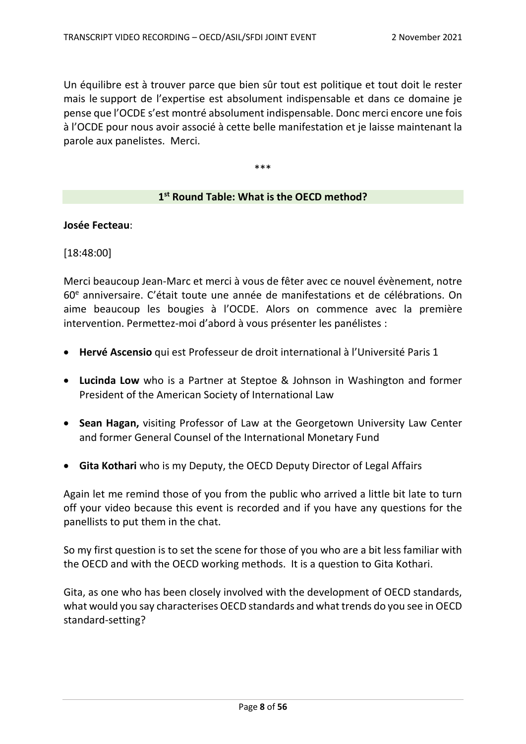Un équilibre est à trouver parce que bien sûr tout est politique et tout doit le rester mais le support de l'expertise est absolument indispensable et dans ce domaine je pense que l'OCDE s'est montré absolument indispensable. Donc merci encore une fois à l'OCDE pour nous avoir associé à cette belle manifestation et je laisse maintenant la parole aux panelistes. Merci.

\*\*\*

### **1st Round Table: What is the OECD method?**

#### **Josée Fecteau**:

[18:48:00]

Merci beaucoup Jean-Marc et merci à vous de fêter avec ce nouvel évènement, notre 60e anniversaire. C'était toute une année de manifestations et de célébrations. On aime beaucoup les bougies à l'OCDE. Alors on commence avec la première intervention. Permettez-moi d'abord à vous présenter les panélistes :

- **Hervé Ascensio** qui est Professeur de droit international à l'Université Paris 1
- **Lucinda Low** who is a Partner at Steptoe & Johnson in Washington and former President of the American Society of International Law
- **Sean Hagan,** visiting Professor of Law at the Georgetown University Law Center and former General Counsel of the International Monetary Fund
- **Gita Kothari** who is my Deputy, the OECD Deputy Director of Legal Affairs

Again let me remind those of you from the public who arrived a little bit late to turn off your video because this event is recorded and if you have any questions for the panellists to put them in the chat.

So my first question is to set the scene for those of you who are a bit less familiar with the OECD and with the OECD working methods. It is a question to Gita Kothari.

Gita, as one who has been closely involved with the development of OECD standards, what would you say characterises OECD standards and what trends do you see in OECD standard-setting?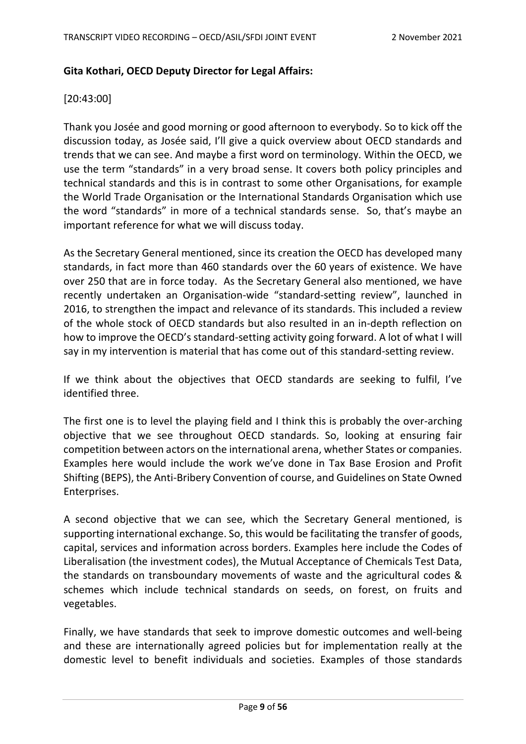## **Gita Kothari, OECD Deputy Director for Legal Affairs:**

### [20:43:00]

Thank you Josée and good morning or good afternoon to everybody. So to kick off the discussion today, as Josée said, I'll give a quick overview about OECD standards and trends that we can see. And maybe a first word on terminology. Within the OECD, we use the term "standards" in a very broad sense. It covers both policy principles and technical standards and this is in contrast to some other Organisations, for example the World Trade Organisation or the International Standards Organisation which use the word "standards" in more of a technical standards sense. So, that's maybe an important reference for what we will discuss today.

As the Secretary General mentioned, since its creation the OECD has developed many standards, in fact more than 460 standards over the 60 years of existence. We have over 250 that are in force today. As the Secretary General also mentioned, we have recently undertaken an Organisation-wide "standard-setting review", launched in 2016, to strengthen the impact and relevance of its standards. This included a review of the whole stock of OECD standards but also resulted in an in-depth reflection on how to improve the OECD's standard-setting activity going forward. A lot of what I will say in my intervention is material that has come out of this standard-setting review.

If we think about the objectives that OECD standards are seeking to fulfil, I've identified three.

The first one is to level the playing field and I think this is probably the over-arching objective that we see throughout OECD standards. So, looking at ensuring fair competition between actors on the international arena, whether States or companies. Examples here would include the work we've done in Tax Base Erosion and Profit Shifting (BEPS), the Anti-Bribery Convention of course, and Guidelines on State Owned Enterprises.

A second objective that we can see, which the Secretary General mentioned, is supporting international exchange. So, this would be facilitating the transfer of goods, capital, services and information across borders. Examples here include the Codes of Liberalisation (the investment codes), the [Mutual Acceptance of Chemicals Test Data,](https://www.oecd.org/chemicalsafety/testing/mutualacceptanceofdatamad.htm) the [standards on transboundary movements of waste](https://www.oecd.org/environment/waste/theoecdcontrolsystemforwasterecovery.htm) and the [agricultural codes &](https://www.oecd.org/agriculture/topics/standards-seeds-tractors-forest-fruit-vegetables/)  [schemes](https://www.oecd.org/agriculture/topics/standards-seeds-tractors-forest-fruit-vegetables/) which include technical standards on seeds, on forest, on fruits and vegetables.

Finally, we have standards that seek to improve domestic outcomes and well-being and these are internationally agreed policies but for implementation really at the domestic level to benefit individuals and societies. Examples of those standards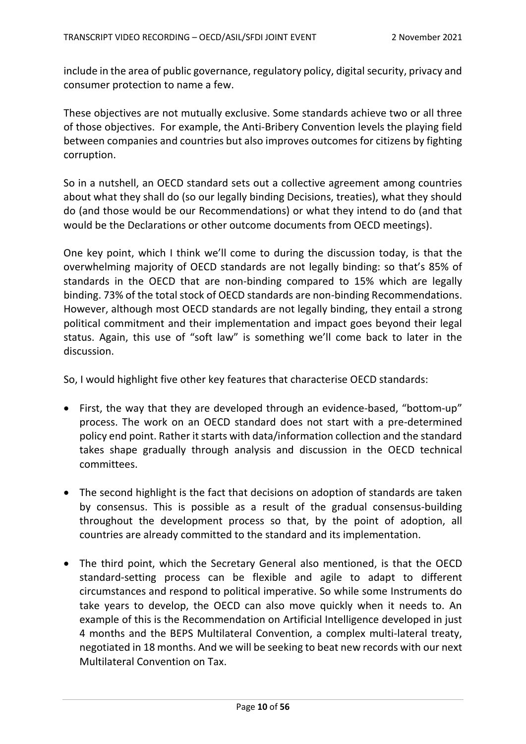include in the area o[f public governance,](https://legalinstruments.oecd.org/en/instruments?mode=normal&themeIds=9&statusIds=1&dateType=adoption) [regulatory policy,](https://legalinstruments.oecd.org/en/instruments/OECD-LEGAL-0390) [digital security,](https://www.oecd.org/digital/ieconomy/digital-security/) [privacy](https://legalinstruments.oecd.org/en/instruments/OECD-LEGAL-0188) and [consumer protection](https://legalinstruments.oecd.org/en/instruments/OECD-LEGAL-0459) to name a few.

These objectives are not mutually exclusive. Some standards achieve two or all three of those objectives. For example, the Anti-Bribery Convention levels the playing field between companies and countries but also improves outcomes for citizens by fighting corruption.

So in a nutshell, an OECD standard sets out a collective agreement among countries about what they shall do (so our legally binding Decisions, treaties), what they should do (and those would be our Recommendations) or what they intend to do (and that would be the Declarations or other outcome documents from OECD meetings).

One key point, which I think we'll come to during the discussion today, is that the overwhelming majority of OECD standards are not legally binding: so that's 85% of standards in the OECD that are non-binding compared to 15% which are legally binding. 73% of the total stock of OECD standards are non-binding Recommendations. However, although most OECD standards are not legally binding, they entail a strong political commitment and their implementation and impact goes beyond their legal status. Again, this use of "soft law" is something we'll come back to later in the discussion.

So, I would highlight five other key features that characterise OECD standards:

- First, the way that they are developed through an evidence-based, "bottom-up" process. The work on an OECD standard does not start with a pre-determined policy end point. Rather it starts with data/information collection and the standard takes shape gradually through analysis and discussion in the OECD technical committees.
- The second highlight is the fact that decisions on adoption of standards are taken by consensus. This is possible as a result of the gradual consensus-building throughout the development process so that, by the point of adoption, all countries are already committed to the standard and its implementation.
- The third point, which the Secretary General also mentioned, is that the OECD standard-setting process can be flexible and agile to adapt to different circumstances and respond to political imperative. So while some Instruments do take years to develop, the OECD can also move quickly when it needs to. An example of this is the Recommendation on Artificial Intelligence developed in just 4 months and the BEPS Multilateral Convention, a complex multi-lateral treaty, negotiated in 18 months. And we will be seeking to beat new records with our next Multilateral Convention on Tax.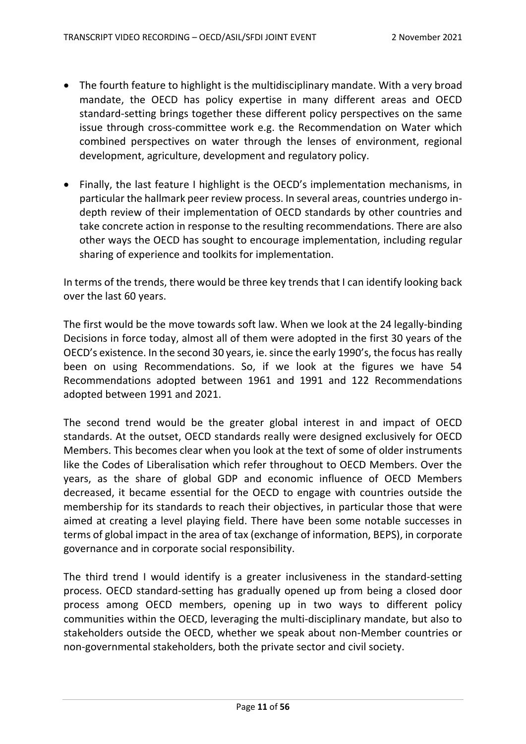- The fourth feature to highlight is the multidisciplinary mandate. With a very broad mandate, the OECD has policy expertise in many different areas and OECD standard-setting brings together these different policy perspectives on the same issue through cross-committee work e.g. the Recommendation on Water which combined perspectives on water through the lenses of environment, regional development, agriculture, development and regulatory policy.
- Finally, the last feature I highlight is the OECD's implementation mechanisms, in particular the hallmark peer review process. In several areas, countries undergo indepth review of their implementation of OECD standards by other countries and take concrete action in response to the resulting recommendations. There are also other ways the OECD has sought to encourage implementation, including regular sharing of experience and toolkits for implementation.

In terms of the trends, there would be three key trends that I can identify looking back over the last 60 years.

The first would be the move towards soft law. When we look at the 24 legally-binding Decisions in force today, almost all of them were adopted in the first 30 years of the OECD's existence. In the second 30 years, ie. since the early 1990's, the focus has really been on using Recommendations. So, if we look at the figures we have 54 Recommendations adopted between 1961 and 1991 and 122 Recommendations adopted between 1991 and 2021.

The second trend would be the greater global interest in and impact of OECD standards. At the outset, OECD standards really were designed exclusively for OECD Members. This becomes clear when you look at the text of some of older instruments like the Codes of Liberalisation which refer throughout to OECD Members. Over the years, as the share of global GDP and economic influence of OECD Members decreased, it became essential for the OECD to engage with countries outside the membership for its standards to reach their objectives, in particular those that were aimed at creating a level playing field. There have been some notable successes in terms of global impact in the area of tax (exchange of information, BEPS), in corporate governance and in corporate social responsibility.

The third trend I would identify is a greater inclusiveness in the standard-setting process. OECD standard-setting has gradually opened up from being a closed door process among OECD members, opening up in two ways to different policy communities within the OECD, leveraging the multi-disciplinary mandate, but also to stakeholders outside the OECD, whether we speak about non-Member countries or non-governmental stakeholders, both the private sector and civil society.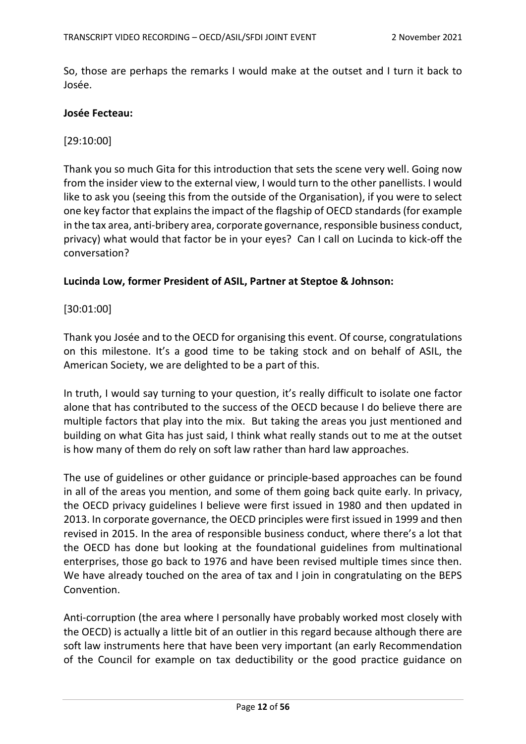So, those are perhaps the remarks I would make at the outset and I turn it back to Josée.

#### **Josée Fecteau:**

#### [29:10:00]

Thank you so much Gita for this introduction that sets the scene very well. Going now from the insider view to the external view, I would turn to the other panellists. I would like to ask you (seeing this from the outside of the Organisation), if you were to select one key factor that explains the impact of the flagship of OECD standards (for example in the tax area, anti-bribery area, corporate governance, responsible business conduct, privacy) what would that factor be in your eyes? Can I call on Lucinda to kick-off the conversation?

#### **Lucinda Low, former President of ASIL, Partner at Steptoe & Johnson:**

### [30:01:00]

Thank you Josée and to the OECD for organising this event. Of course, congratulations on this milestone. It's a good time to be taking stock and on behalf of ASIL, the American Society, we are delighted to be a part of this.

In truth, I would say turning to your question, it's really difficult to isolate one factor alone that has contributed to the success of the OECD because I do believe there are multiple factors that play into the mix. But taking the areas you just mentioned and building on what Gita has just said, I think what really stands out to me at the outset is how many of them do rely on soft law rather than hard law approaches.

The use of guidelines or other guidance or principle-based approaches can be found in all of the areas you mention, and some of them going back quite early. In privacy, the OECD privacy guidelines I believe were first issued in 1980 and then updated in 2013. In corporate governance, the OECD principles were first issued in 1999 and then revised in 2015. In the area of responsible business conduct, where there's a lot that the OECD has done but looking at the foundational guidelines from multinational enterprises, those go back to 1976 and have been revised multiple times since then. We have already touched on the area of tax and I join in congratulating on the BEPS Convention.

Anti-corruption (the area where I personally have probably worked most closely with the OECD) is actually a little bit of an outlier in this regard because although there are soft law instruments here that have been very important (an early Recommendation of the Council for example on tax deductibility or the good practice guidance on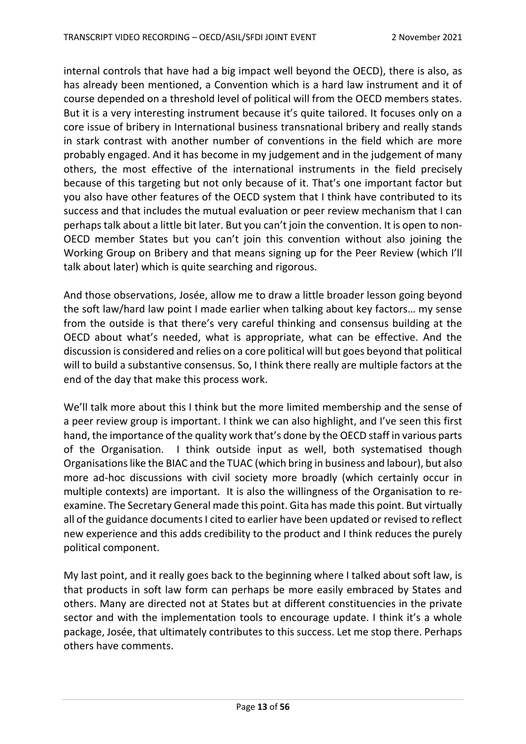internal controls that have had a big impact well beyond the OECD), there is also, as has already been mentioned, a Convention which is a hard law instrument and it of course depended on a threshold level of political will from the OECD members states. But it is a very interesting instrument because it's quite tailored. It focuses only on a core issue of bribery in International business transnational bribery and really stands in stark contrast with another number of conventions in the field which are more probably engaged. And it has become in my judgement and in the judgement of many others, the most effective of the international instruments in the field precisely because of this targeting but not only because of it. That's one important factor but you also have other features of the OECD system that I think have contributed to its success and that includes the mutual evaluation or peer review mechanism that I can perhaps talk about a little bit later. But you can't join the convention. It is open to non-OECD member States but you can't join this convention without also joining the Working Group on Bribery and that means signing up for the Peer Review (which I'll talk about later) which is quite searching and rigorous.

And those observations, Josée, allow me to draw a little broader lesson going beyond the soft law/hard law point I made earlier when talking about key factors… my sense from the outside is that there's very careful thinking and consensus building at the OECD about what's needed, what is appropriate, what can be effective. And the discussion is considered and relies on a core political will but goes beyond that political will to build a substantive consensus. So, I think there really are multiple factors at the end of the day that make this process work.

We'll talk more about this I think but the more limited membership and the sense of a peer review group is important. I think we can also highlight, and I've seen this first hand, the importance of the quality work that's done by the OECD staff in various parts of the Organisation. I think outside input as well, both systematised though Organisations like the BIAC and the TUAC (which bring in business and labour), but also more ad-hoc discussions with civil society more broadly (which certainly occur in multiple contexts) are important. It is also the willingness of the Organisation to reexamine. The Secretary General made this point. Gita has made this point. But virtually all of the guidance documents I cited to earlier have been updated or revised to reflect new experience and this adds credibility to the product and I think reduces the purely political component.

My last point, and it really goes back to the beginning where I talked about soft law, is that products in soft law form can perhaps be more easily embraced by States and others. Many are directed not at States but at different constituencies in the private sector and with the implementation tools to encourage update. I think it's a whole package, Josée, that ultimately contributes to this success. Let me stop there. Perhaps others have comments.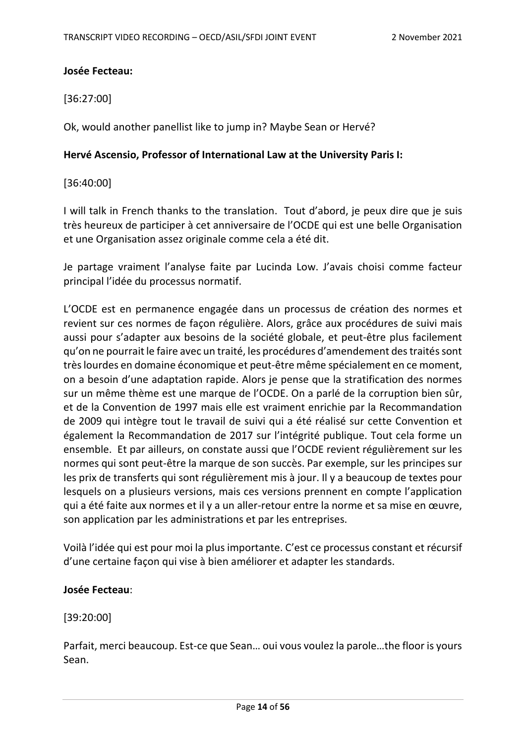## **Josée Fecteau:**

[36:27:00]

Ok, would another panellist like to jump in? Maybe Sean or Hervé?

### **Hervé Ascensio, Professor of International Law at the University Paris I:**

[36:40:00]

I will talk in French thanks to the translation. Tout d'abord, je peux dire que je suis très heureux de participer à cet anniversaire de l'OCDE qui est une belle Organisation et une Organisation assez originale comme cela a été dit.

Je partage vraiment l'analyse faite par Lucinda Low. J'avais choisi comme facteur principal l'idée du processus normatif.

L'OCDE est en permanence engagée dans un processus de création des normes et revient sur ces normes de façon régulière. Alors, grâce aux procédures de suivi mais aussi pour s'adapter aux besoins de la société globale, et peut-être plus facilement qu'on ne pourrait le faire avec un traité, les procédures d'amendement des traités sont très lourdes en domaine économique et peut-être même spécialement en ce moment, on a besoin d'une adaptation rapide. Alors je pense que la stratification des normes sur un même thème est une marque de l'OCDE. On a parlé de la corruption bien sûr, et de la Convention de 1997 mais elle est vraiment enrichie par la Recommandation de 2009 qui intègre tout le travail de suivi qui a été réalisé sur cette Convention et également la Recommandation de 2017 sur l'intégrité publique. Tout cela forme un ensemble. Et par ailleurs, on constate aussi que l'OCDE revient régulièrement sur les normes qui sont peut-être la marque de son succès. Par exemple, sur les principes sur les prix de transferts qui sont régulièrement mis à jour. Il y a beaucoup de textes pour lesquels on a plusieurs versions, mais ces versions prennent en compte l'application qui a été faite aux normes et il y a un aller-retour entre la norme et sa mise en œuvre, son application par les administrations et par les entreprises.

Voilà l'idée qui est pour moi la plus importante. C'est ce processus constant et récursif d'une certaine façon qui vise à bien améliorer et adapter les standards.

### **Josée Fecteau**:

[39:20:00]

Parfait, merci beaucoup. Est-ce que Sean… oui vous voulez la parole…the floor is yours Sean.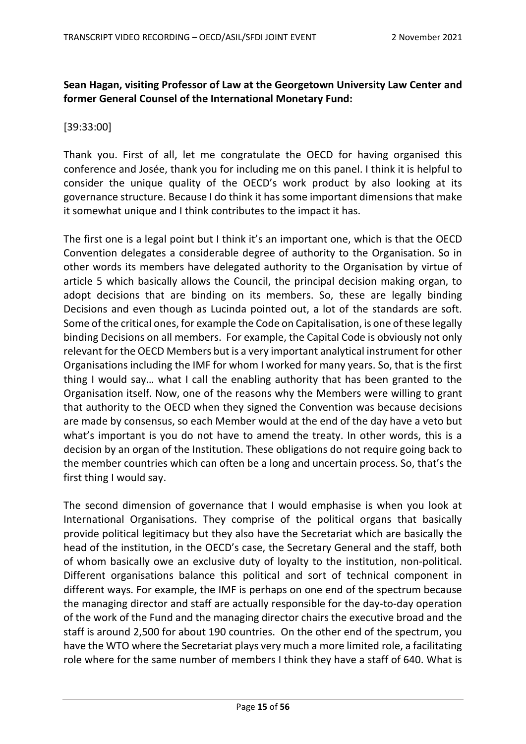# **Sean Hagan, visiting Professor of Law at the Georgetown University Law Center and former General Counsel of the International Monetary Fund:**

## [39:33:00]

Thank you. First of all, let me congratulate the OECD for having organised this conference and Josée, thank you for including me on this panel. I think it is helpful to consider the unique quality of the OECD's work product by also looking at its governance structure. Because I do think it has some important dimensions that make it somewhat unique and I think contributes to the impact it has.

The first one is a legal point but I think it's an important one, which is that the OECD Convention delegates a considerable degree of authority to the Organisation. So in other words its members have delegated authority to the Organisation by virtue of article 5 which basically allows the Council, the principal decision making organ, to adopt decisions that are binding on its members. So, these are legally binding Decisions and even though as Lucinda pointed out, a lot of the standards are soft. Some of the critical ones, for example the Code on Capitalisation, is one of these legally binding Decisions on all members. For example, the Capital Code is obviously not only relevant for the OECD Members but is a very important analytical instrument for other Organisations including the IMF for whom I worked for many years. So, that is the first thing I would say… what I call the enabling authority that has been granted to the Organisation itself. Now, one of the reasons why the Members were willing to grant that authority to the OECD when they signed the Convention was because decisions are made by consensus, so each Member would at the end of the day have a veto but what's important is you do not have to amend the treaty. In other words, this is a decision by an organ of the Institution. These obligations do not require going back to the member countries which can often be a long and uncertain process. So, that's the first thing I would say.

The second dimension of governance that I would emphasise is when you look at International Organisations. They comprise of the political organs that basically provide political legitimacy but they also have the Secretariat which are basically the head of the institution, in the OECD's case, the Secretary General and the staff, both of whom basically owe an exclusive duty of loyalty to the institution, non-political. Different organisations balance this political and sort of technical component in different ways. For example, the IMF is perhaps on one end of the spectrum because the managing director and staff are actually responsible for the day-to-day operation of the work of the Fund and the managing director chairs the executive broad and the staff is around 2,500 for about 190 countries. On the other end of the spectrum, you have the WTO where the Secretariat plays very much a more limited role, a facilitating role where for the same number of members I think they have a staff of 640. What is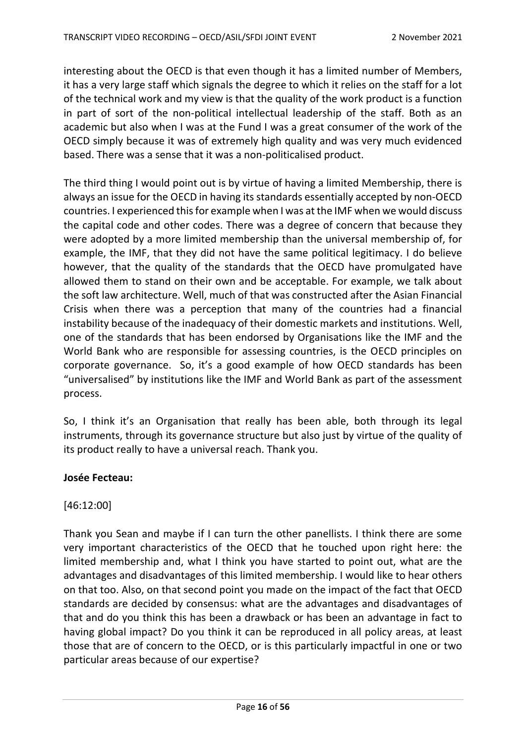interesting about the OECD is that even though it has a limited number of Members, it has a very large staff which signals the degree to which it relies on the staff for a lot of the technical work and my view is that the quality of the work product is a function in part of sort of the non-political intellectual leadership of the staff. Both as an academic but also when I was at the Fund I was a great consumer of the work of the OECD simply because it was of extremely high quality and was very much evidenced based. There was a sense that it was a non-politicalised product.

The third thing I would point out is by virtue of having a limited Membership, there is always an issue for the OECD in having its standards essentially accepted by non-OECD countries. I experienced this for example when I was at the IMF when we would discuss the capital code and other codes. There was a degree of concern that because they were adopted by a more limited membership than the universal membership of, for example, the IMF, that they did not have the same political legitimacy. I do believe however, that the quality of the standards that the OECD have promulgated have allowed them to stand on their own and be acceptable. For example, we talk about the soft law architecture. Well, much of that was constructed after the Asian Financial Crisis when there was a perception that many of the countries had a financial instability because of the inadequacy of their domestic markets and institutions. Well, one of the standards that has been endorsed by Organisations like the IMF and the World Bank who are responsible for assessing countries, is the OECD principles on corporate governance. So, it's a good example of how OECD standards has been "universalised" by institutions like the IMF and World Bank as part of the assessment process.

So, I think it's an Organisation that really has been able, both through its legal instruments, through its governance structure but also just by virtue of the quality of its product really to have a universal reach. Thank you.

### **Josée Fecteau:**

[46:12:00]

Thank you Sean and maybe if I can turn the other panellists. I think there are some very important characteristics of the OECD that he touched upon right here: the limited membership and, what I think you have started to point out, what are the advantages and disadvantages of this limited membership. I would like to hear others on that too. Also, on that second point you made on the impact of the fact that OECD standards are decided by consensus: what are the advantages and disadvantages of that and do you think this has been a drawback or has been an advantage in fact to having global impact? Do you think it can be reproduced in all policy areas, at least those that are of concern to the OECD, or is this particularly impactful in one or two particular areas because of our expertise?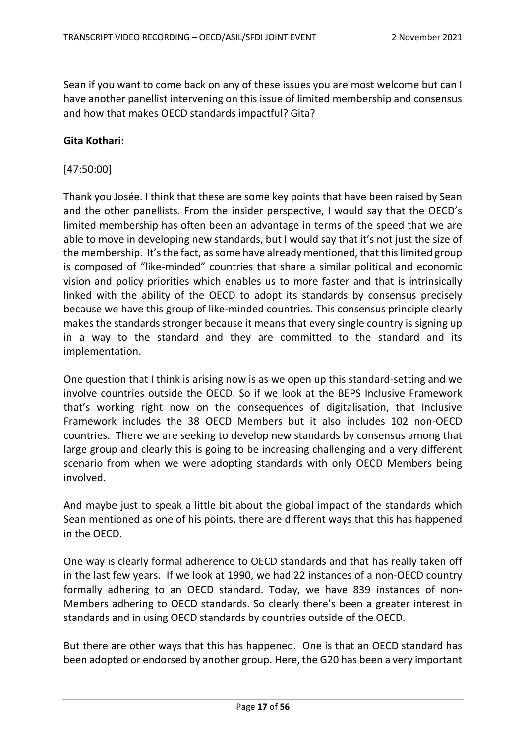Sean if you want to come back on any of these issues you are most welcome but can I have another panellist intervening on this issue of limited membership and consensus and how that makes OECD standards impactful? Gita?

#### **Gita Kothari:**

#### [47:50:00]

Thank you Josée. I think that these are some key points that have been raised by Sean and the other panellists. From the insider perspective, I would say that the OECD's limited membership has often been an advantage in terms of the speed that we are able to move in developing new standards, but I would say that it's not just the size of the membership. It's the fact, as some have already mentioned, that this limited group is composed of "like-minded" countries that share a similar political and economic vision and policy priorities which enables us to more faster and that is intrinsically linked with the ability of the OECD to adopt its standards by consensus precisely because we have this group of like-minded countries. This consensus principle clearly makes the standards stronger because it means that every single country is signing up in a way to the standard and they are committed to the standard and its implementation.

One question that I think is arising now is as we open up this standard-setting and we involve countries outside the OECD. So if we look at the BEPS Inclusive Framework that's working right now on the consequences of digitalisation, that Inclusive Framework includes the 38 OECD Members but it also includes 102 non-OECD countries. There we are seeking to develop new standards by consensus among that large group and clearly this is going to be increasing challenging and a very different scenario from when we were adopting standards with only OECD Members being involved.

And maybe just to speak a little bit about the global impact of the standards which Sean mentioned as one of his points, there are different ways that this has happened in the OECD.

One way is clearly formal adherence to OECD standards and that has really taken off in the last few years. If we look at 1990, we had 22 instances of a non-OECD country formally adhering to an OECD standard. Today, we have 839 instances of non-Members adhering to OECD standards. So clearly there's been a greater interest in standards and in using OECD standards by countries outside of the OECD.

But there are other ways that this has happened. One is that an OECD standard has been adopted or endorsed by another group. Here, the G20 has been a very important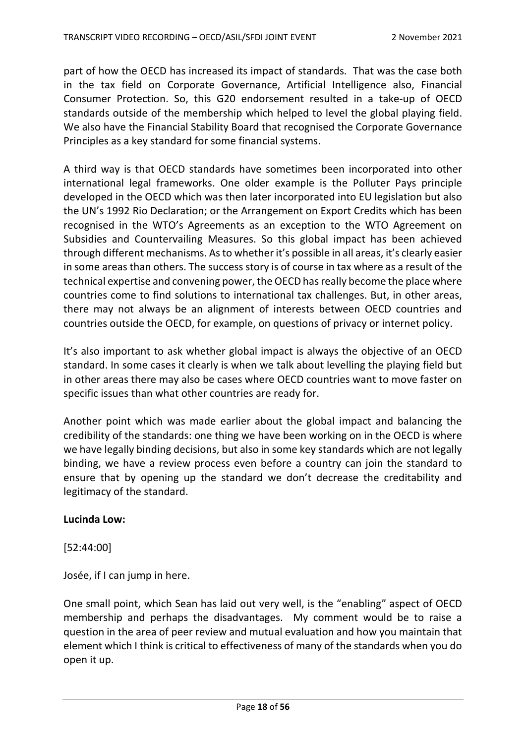part of how the OECD has increased its impact of standards. That was the case both in the tax field on Corporate Governance, Artificial Intelligence also, Financial Consumer Protection. So, this G20 endorsement resulted in a take-up of OECD standards outside of the membership which helped to level the global playing field. We also have the Financial Stability Board that recognised the Corporate Governance Principles as a key standard for some financial systems.

A third way is that OECD standards have sometimes been incorporated into other international legal frameworks. One older example is the Polluter Pays principle developed in the OECD which was then later incorporated into EU legislation but also the UN's 1992 Rio Declaration; or the Arrangement on Export Credits which has been recognised in the WTO's Agreements as an exception to the WTO Agreement on Subsidies and Countervailing Measures. So this global impact has been achieved through different mechanisms. As to whether it's possible in all areas, it's clearly easier in some areas than others. The success story is of course in tax where as a result of the technical expertise and convening power, the OECD has really become the place where countries come to find solutions to international tax challenges. But, in other areas, there may not always be an alignment of interests between OECD countries and countries outside the OECD, for example, on questions of privacy or internet policy.

It's also important to ask whether global impact is always the objective of an OECD standard. In some cases it clearly is when we talk about levelling the playing field but in other areas there may also be cases where OECD countries want to move faster on specific issues than what other countries are ready for.

Another point which was made earlier about the global impact and balancing the credibility of the standards: one thing we have been working on in the OECD is where we have legally binding decisions, but also in some key standards which are not legally binding, we have a review process even before a country can join the standard to ensure that by opening up the standard we don't decrease the creditability and legitimacy of the standard.

### **Lucinda Low:**

[52:44:00]

Josée, if I can jump in here.

One small point, which Sean has laid out very well, is the "enabling" aspect of OECD membership and perhaps the disadvantages. My comment would be to raise a question in the area of peer review and mutual evaluation and how you maintain that element which I think is critical to effectiveness of many of the standards when you do open it up.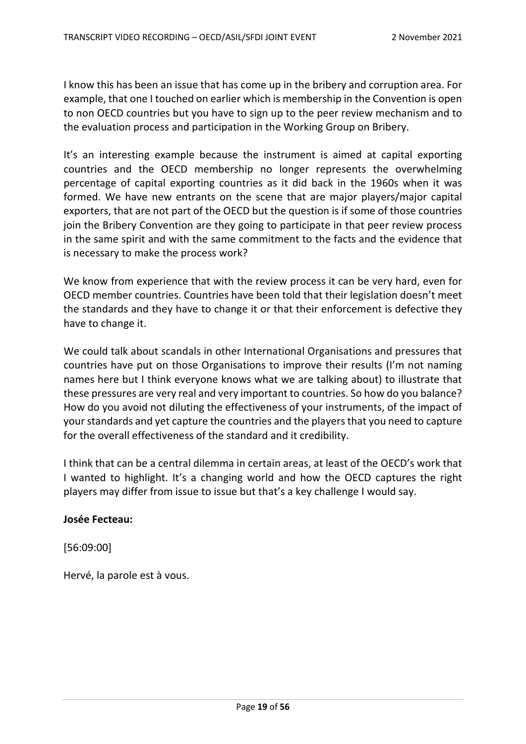I know this has been an issue that has come up in the bribery and corruption area. For example, that one I touched on earlier which is membership in the Convention is open to non OECD countries but you have to sign up to the peer review mechanism and to the evaluation process and participation in the Working Group on Bribery.

It's an interesting example because the instrument is aimed at capital exporting countries and the OECD membership no longer represents the overwhelming percentage of capital exporting countries as it did back in the 1960s when it was formed. We have new entrants on the scene that are major players/major capital exporters, that are not part of the OECD but the question is if some of those countries join the Bribery Convention are they going to participate in that peer review process in the same spirit and with the same commitment to the facts and the evidence that is necessary to make the process work?

We know from experience that with the review process it can be very hard, even for OECD member countries. Countries have been told that their legislation doesn't meet the standards and they have to change it or that their enforcement is defective they have to change it.

We could talk about scandals in other International Organisations and pressures that countries have put on those Organisations to improve their results (I'm not naming names here but I think everyone knows what we are talking about) to illustrate that these pressures are very real and very important to countries. So how do you balance? How do you avoid not diluting the effectiveness of your instruments, of the impact of your standards and yet capture the countries and the players that you need to capture for the overall effectiveness of the standard and it credibility.

I think that can be a central dilemma in certain areas, at least of the OECD's work that I wanted to highlight. It's a changing world and how the OECD captures the right players may differ from issue to issue but that's a key challenge I would say.

### **Josée Fecteau:**

[56:09:00]

Hervé, la parole est à vous.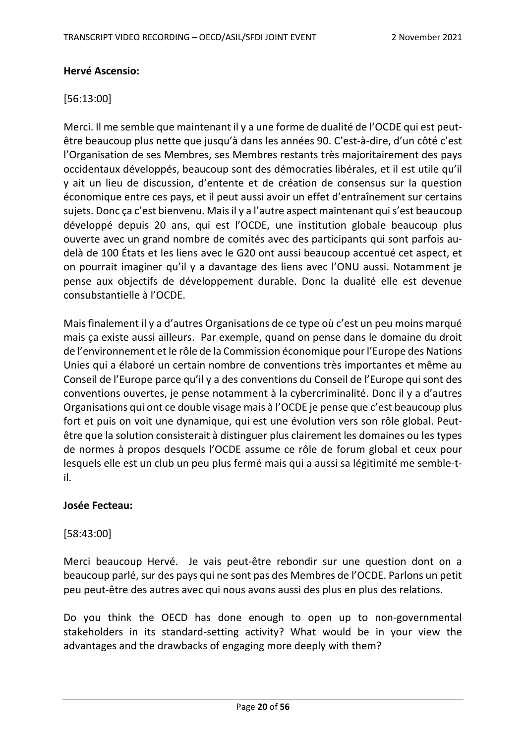### **Hervé Ascensio:**

## [56:13:00]

Merci. Il me semble que maintenant il y a une forme de dualité de l'OCDE qui est peutêtre beaucoup plus nette que jusqu'à dans les années 90. C'est-à-dire, d'un côté c'est l'Organisation de ses Membres, ses Membres restants très majoritairement des pays occidentaux développés, beaucoup sont des démocraties libérales, et il est utile qu'il y ait un lieu de discussion, d'entente et de création de consensus sur la question économique entre ces pays, et il peut aussi avoir un effet d'entraînement sur certains sujets. Donc ça c'est bienvenu. Maisil y a l'autre aspect maintenant qui s'est beaucoup développé depuis 20 ans, qui est l'OCDE, une institution globale beaucoup plus ouverte avec un grand nombre de comités avec des participants qui sont parfois audelà de 100 États et les liens avec le G20 ont aussi beaucoup accentué cet aspect, et on pourrait imaginer qu'il y a davantage des liens avec l'ONU aussi. Notamment je pense aux objectifs de développement durable. Donc la dualité elle est devenue consubstantielle à l'OCDE.

Mais finalement il y a d'autres Organisations de ce type où c'est un peu moins marqué mais ça existe aussi ailleurs. Par exemple, quand on pense dans le domaine du droit de l'environnement et le rôle de la Commission économique pour l'Europe des Nations Unies qui a élaboré un certain nombre de conventions très importantes et même au Conseil de l'Europe parce qu'il y a des conventions du Conseil de l'Europe qui sont des conventions ouvertes, je pense notamment à la cybercriminalité. Donc il y a d'autres Organisations qui ont ce double visage mais à l'OCDE je pense que c'est beaucoup plus fort et puis on voit une dynamique, qui est une évolution vers son rôle global. Peutêtre que la solution consisterait à distinguer plus clairement les domaines ou les types de normes à propos desquels l'OCDE assume ce rôle de forum global et ceux pour lesquels elle est un club un peu plus fermé mais qui a aussi sa légitimité me semble-til.

### **Josée Fecteau:**

[58:43:00]

Merci beaucoup Hervé. Je vais peut-être rebondir sur une question dont on a beaucoup parlé, sur des pays qui ne sont pas des Membres de l'OCDE. Parlons un petit peu peut-être des autres avec qui nous avons aussi des plus en plus des relations.

Do you think the OECD has done enough to open up to non-governmental stakeholders in its standard-setting activity? What would be in your view the advantages and the drawbacks of engaging more deeply with them?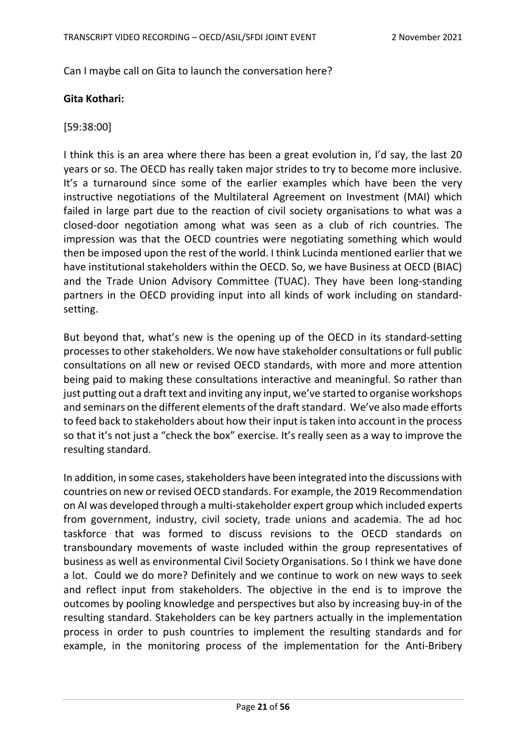Can I maybe call on Gita to launch the conversation here?

## **Gita Kothari:**

## [59:38:00]

I think this is an area where there has been a great evolution in, I'd say, the last 20 years or so. The OECD has really taken major strides to try to become more inclusive. It's a turnaround since some of the earlier examples which have been the very instructive negotiations of the Multilateral Agreement on Investment (MAI) which failed in large part due to the reaction of civil society organisations to what was a closed-door negotiation among what was seen as a club of rich countries. The impression was that the OECD countries were negotiating something which would then be imposed upon the rest of the world. I think Lucinda mentioned earlier that we have institutional stakeholders within the OECD. So, we have Business at OECD (BIAC) and the Trade Union Advisory Committee (TUAC). They have been long-standing partners in the OECD providing input into all kinds of work including on standardsetting.

But beyond that, what's new is the opening up of the OECD in its standard-setting processes to other stakeholders. We now have stakeholder consultations or full public consultations on all new or revised OECD standards, with more and more attention being paid to making these consultations interactive and meaningful. So rather than just putting out a draft text and inviting any input, we've started to organise workshops and seminars on the different elements of the draft standard. We've also made efforts to feed back to stakeholders about how their input is taken into account in the process so that it's not just a "check the box" exercise. It's really seen as a way to improve the resulting standard.

In addition, in some cases, stakeholders have been integrated into the discussions with countries on new or revised OECD standards. For example, the 2019 Recommendation on AI was developed through a multi-stakeholder expert group which included experts from government, industry, civil society, trade unions and academia. The ad hoc taskforce that was formed to discuss revisions to the OECD standards on transboundary movements of waste included within the group representatives of business as well as environmental Civil Society Organisations. So I think we have done a lot. Could we do more? Definitely and we continue to work on new ways to seek and reflect input from stakeholders. The objective in the end is to improve the outcomes by pooling knowledge and perspectives but also by increasing buy-in of the resulting standard. Stakeholders can be key partners actually in the implementation process in order to push countries to implement the resulting standards and for example, in the monitoring process of the implementation for the Anti-Bribery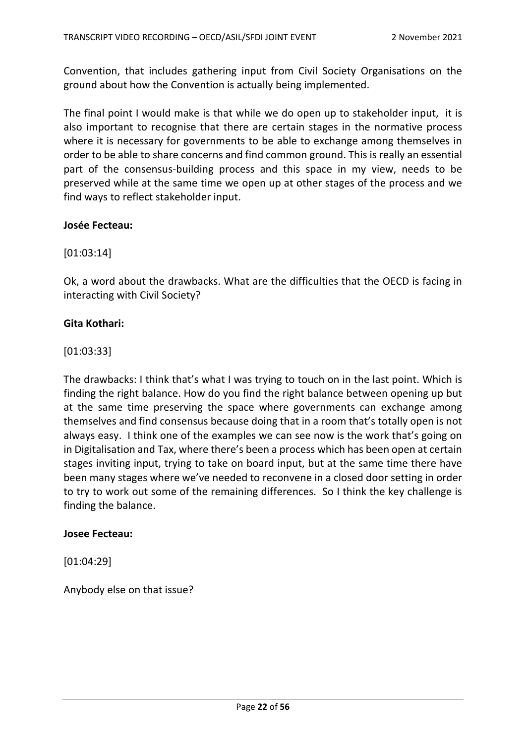Convention, that includes gathering input from Civil Society Organisations on the ground about how the Convention is actually being implemented.

The final point I would make is that while we do open up to stakeholder input, it is also important to recognise that there are certain stages in the normative process where it is necessary for governments to be able to exchange among themselves in order to be able to share concerns and find common ground. This is really an essential part of the consensus-building process and this space in my view, needs to be preserved while at the same time we open up at other stages of the process and we find ways to reflect stakeholder input.

### **Josée Fecteau:**

[01:03:14]

Ok, a word about the drawbacks. What are the difficulties that the OECD is facing in interacting with Civil Society?

### **Gita Kothari:**

[01:03:33]

The drawbacks: I think that's what I was trying to touch on in the last point. Which is finding the right balance. How do you find the right balance between opening up but at the same time preserving the space where governments can exchange among themselves and find consensus because doing that in a room that's totally open is not always easy. I think one of the examples we can see now is the work that's going on in Digitalisation and Tax, where there's been a process which has been open at certain stages inviting input, trying to take on board input, but at the same time there have been many stages where we've needed to reconvene in a closed door setting in order to try to work out some of the remaining differences. So I think the key challenge is finding the balance.

### **Josee Fecteau:**

[01:04:29]

Anybody else on that issue?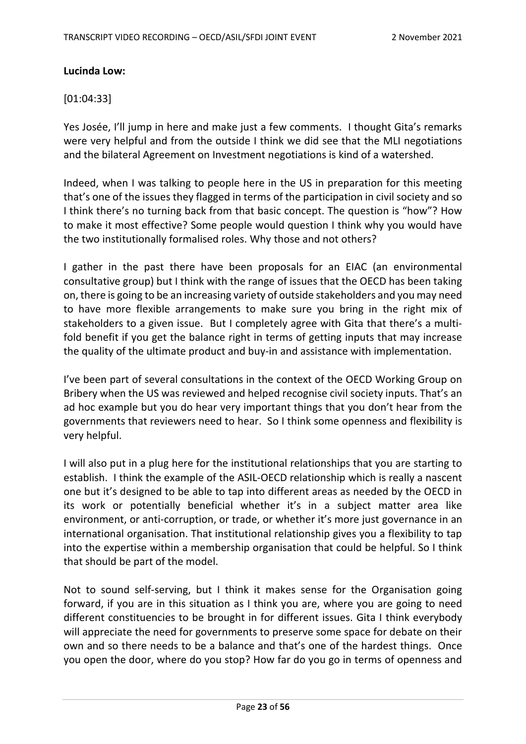## **Lucinda Low:**

## [01:04:33]

Yes Josée, I'll jump in here and make just a few comments. I thought Gita's remarks were very helpful and from the outside I think we did see that the MLI negotiations and the bilateral Agreement on Investment negotiations is kind of a watershed.

Indeed, when I was talking to people here in the US in preparation for this meeting that's one of the issues they flagged in terms of the participation in civil society and so I think there's no turning back from that basic concept. The question is "how"? How to make it most effective? Some people would question I think why you would have the two institutionally formalised roles. Why those and not others?

I gather in the past there have been proposals for an EIAC (an environmental consultative group) but I think with the range of issues that the OECD has been taking on, there is going to be an increasing variety of outside stakeholders and you may need to have more flexible arrangements to make sure you bring in the right mix of stakeholders to a given issue. But I completely agree with Gita that there's a multifold benefit if you get the balance right in terms of getting inputs that may increase the quality of the ultimate product and buy-in and assistance with implementation.

I've been part of several consultations in the context of the OECD Working Group on Bribery when the US was reviewed and helped recognise civil society inputs. That's an ad hoc example but you do hear very important things that you don't hear from the governments that reviewers need to hear. So I think some openness and flexibility is very helpful.

I will also put in a plug here for the institutional relationships that you are starting to establish. I think the example of the ASIL-OECD relationship which is really a nascent one but it's designed to be able to tap into different areas as needed by the OECD in its work or potentially beneficial whether it's in a subject matter area like environment, or anti-corruption, or trade, or whether it's more just governance in an international organisation. That institutional relationship gives you a flexibility to tap into the expertise within a membership organisation that could be helpful. So I think that should be part of the model.

Not to sound self-serving, but I think it makes sense for the Organisation going forward, if you are in this situation as I think you are, where you are going to need different constituencies to be brought in for different issues. Gita I think everybody will appreciate the need for governments to preserve some space for debate on their own and so there needs to be a balance and that's one of the hardest things. Once you open the door, where do you stop? How far do you go in terms of openness and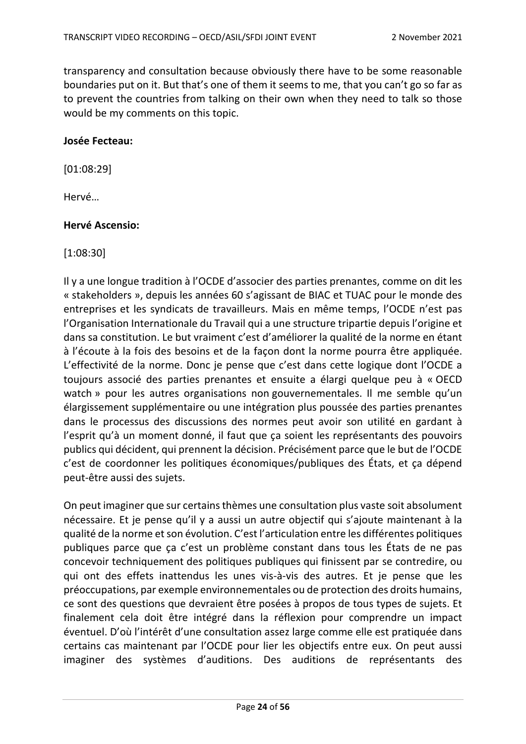transparency and consultation because obviously there have to be some reasonable boundaries put on it. But that's one of them it seems to me, that you can't go so far as to prevent the countries from talking on their own when they need to talk so those would be my comments on this topic.

### **Josée Fecteau:**

[01:08:29]

Hervé…

## **Hervé Ascensio:**

[1:08:30]

Il y a une longue tradition à l'OCDE d'associer des parties prenantes, comme on dit les « stakeholders », depuis les années 60 s'agissant de BIAC et TUAC pour le monde des entreprises et les syndicats de travailleurs. Mais en même temps, l'OCDE n'est pas l'Organisation Internationale du Travail qui a une structure tripartie depuis l'origine et dans sa constitution. Le but vraiment c'est d'améliorer la qualité de la norme en étant à l'écoute à la fois des besoins et de la façon dont la norme pourra être appliquée. L'effectivité de la norme. Donc je pense que c'est dans cette logique dont l'OCDE a toujours associé des parties prenantes et ensuite a élargi quelque peu à « OECD watch » pour les autres organisations non gouvernementales. Il me semble qu'un élargissement supplémentaire ou une intégration plus poussée des parties prenantes dans le processus des discussions des normes peut avoir son utilité en gardant à l'esprit qu'à un moment donné, il faut que ça soient les représentants des pouvoirs publics qui décident, qui prennent la décision. Précisément parce que le but de l'OCDE c'est de coordonner les politiques économiques/publiques des États, et ça dépend peut-être aussi des sujets.

On peut imaginer que sur certains thèmes une consultation plus vaste soit absolument nécessaire. Et je pense qu'il y a aussi un autre objectif qui s'ajoute maintenant à la qualité de la norme et son évolution. C'est l'articulation entre les différentes politiques publiques parce que ça c'est un problème constant dans tous les États de ne pas concevoir techniquement des politiques publiques qui finissent par se contredire, ou qui ont des effets inattendus les unes vis-à-vis des autres. Et je pense que les préoccupations, par exemple environnementales ou de protection des droits humains, ce sont des questions que devraient être posées à propos de tous types de sujets. Et finalement cela doit être intégré dans la réflexion pour comprendre un impact éventuel. D'où l'intérêt d'une consultation assez large comme elle est pratiquée dans certains cas maintenant par l'OCDE pour lier les objectifs entre eux. On peut aussi imaginer des systèmes d'auditions. Des auditions de représentants des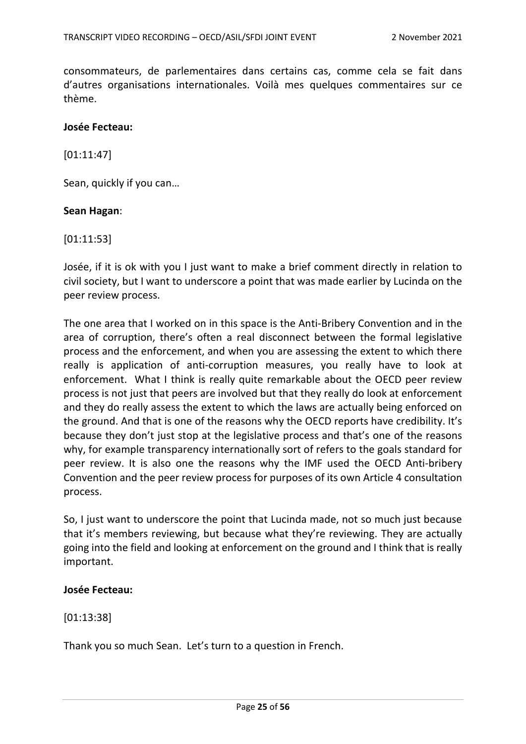consommateurs, de parlementaires dans certains cas, comme cela se fait dans d'autres organisations internationales. Voilà mes quelques commentaires sur ce thème.

#### **Josée Fecteau:**

[01:11:47]

Sean, quickly if you can…

#### **Sean Hagan**:

[01:11:53]

Josée, if it is ok with you I just want to make a brief comment directly in relation to civil society, but I want to underscore a point that was made earlier by Lucinda on the peer review process.

The one area that I worked on in this space is the Anti-Bribery Convention and in the area of corruption, there's often a real disconnect between the formal legislative process and the enforcement, and when you are assessing the extent to which there really is application of anti-corruption measures, you really have to look at enforcement. What I think is really quite remarkable about the OECD peer review process is not just that peers are involved but that they really do look at enforcement and they do really assess the extent to which the laws are actually being enforced on the ground. And that is one of the reasons why the OECD reports have credibility. It's because they don't just stop at the legislative process and that's one of the reasons why, for example transparency internationally sort of refers to the goals standard for peer review. It is also one the reasons why the IMF used the OECD Anti-bribery Convention and the peer review process for purposes of its own Article 4 consultation process.

So, I just want to underscore the point that Lucinda made, not so much just because that it's members reviewing, but because what they're reviewing. They are actually going into the field and looking at enforcement on the ground and I think that is really important.

#### **Josée Fecteau:**

[01:13:38]

Thank you so much Sean. Let's turn to a question in French.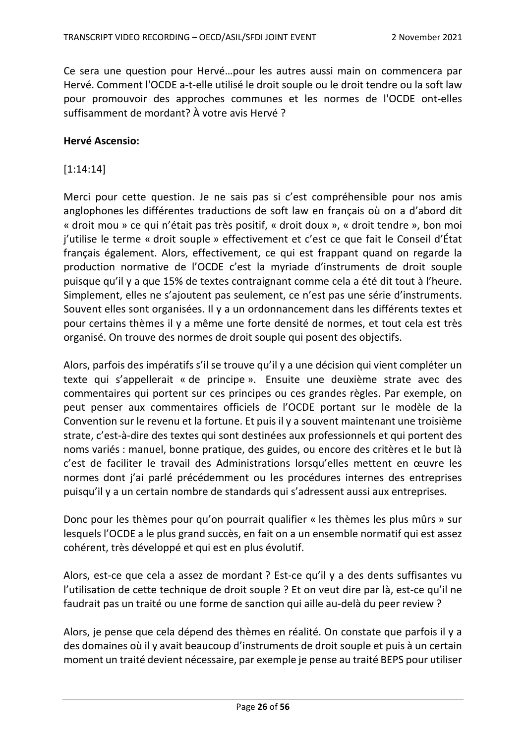Ce sera une question pour Hervé…pour les autres aussi main on commencera par Hervé. Comment l'OCDE a-t-elle utilisé le droit souple ou le droit tendre ou la soft law pour promouvoir des approches communes et les normes de l'OCDE ont-elles suffisamment de mordant? À votre avis Hervé ?

#### **Hervé Ascensio:**

## [1:14:14]

Merci pour cette question. Je ne sais pas si c'est compréhensible pour nos amis anglophones les différentes traductions de soft law en français où on a d'abord dit « droit mou » ce qui n'était pas très positif, « droit doux », « droit tendre », bon moi j'utilise le terme « droit souple » effectivement et c'est ce que fait le Conseil d'État français également. Alors, effectivement, ce qui est frappant quand on regarde la production normative de l'OCDE c'est la myriade d'instruments de droit souple puisque qu'il y a que 15% de textes contraignant comme cela a été dit tout à l'heure. Simplement, elles ne s'ajoutent pas seulement, ce n'est pas une série d'instruments. Souvent elles sont organisées. Il y a un ordonnancement dans les différents textes et pour certains thèmes il y a même une forte densité de normes, et tout cela est très organisé. On trouve des normes de droit souple qui posent des objectifs.

Alors, parfois des impératifs s'il se trouve qu'il y a une décision qui vient compléter un texte qui s'appellerait « de principe ». Ensuite une deuxième strate avec des commentaires qui portent sur ces principes ou ces grandes règles. Par exemple, on peut penser aux commentaires officiels de l'OCDE portant sur le modèle de la Convention sur le revenu et la fortune. Et puis il y a souvent maintenant une troisième strate, c'est-à-dire des textes qui sont destinées aux professionnels et qui portent des noms variés : manuel, bonne pratique, des guides, ou encore des critères et le but là c'est de faciliter le travail des Administrations lorsqu'elles mettent en œuvre les normes dont j'ai parlé précédemment ou les procédures internes des entreprises puisqu'il y a un certain nombre de standards qui s'adressent aussi aux entreprises.

Donc pour les thèmes pour qu'on pourrait qualifier « les thèmes les plus mûrs » sur lesquels l'OCDE a le plus grand succès, en fait on a un ensemble normatif qui est assez cohérent, très développé et qui est en plus évolutif.

Alors, est-ce que cela a assez de mordant ? Est-ce qu'il y a des dents suffisantes vu l'utilisation de cette technique de droit souple ? Et on veut dire par là, est-ce qu'il ne faudrait pas un traité ou une forme de sanction qui aille au-delà du peer review ?

Alors, je pense que cela dépend des thèmes en réalité. On constate que parfois il y a des domaines où il y avait beaucoup d'instruments de droit souple et puis à un certain moment un traité devient nécessaire, par exemple je pense au traité BEPS pour utiliser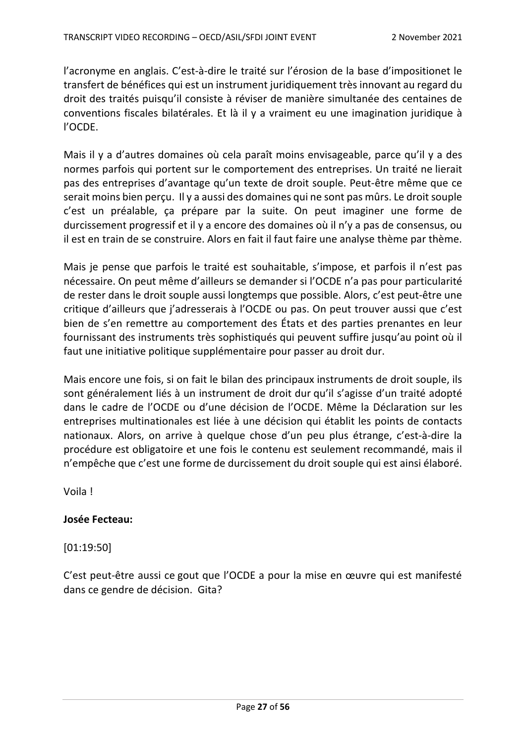l'acronyme en anglais. C'est-à-dire le traité sur l'érosion de la base d'impositionet le transfert de bénéfices qui est un instrument juridiquement très innovant au regard du droit des traités puisqu'il consiste à réviser de manière simultanée des centaines de conventions fiscales bilatérales. Et là il y a vraiment eu une imagination juridique à l'OCDE.

Mais il y a d'autres domaines où cela paraît moins envisageable, parce qu'il y a des normes parfois qui portent sur le comportement des entreprises. Un traité ne lierait pas des entreprises d'avantage qu'un texte de droit souple. Peut-être même que ce serait moins bien perçu. Il y a aussi des domaines qui ne sont pas mûrs. Le droit souple c'est un préalable, ça prépare par la suite. On peut imaginer une forme de durcissement progressif et il y a encore des domaines où il n'y a pas de consensus, ou il est en train de se construire. Alors en fait il faut faire une analyse thème par thème.

Mais je pense que parfois le traité est souhaitable, s'impose, et parfois il n'est pas nécessaire. On peut même d'ailleurs se demander si l'OCDE n'a pas pour particularité de rester dans le droit souple aussi longtemps que possible. Alors, c'est peut-être une critique d'ailleurs que j'adresserais à l'OCDE ou pas. On peut trouver aussi que c'est bien de s'en remettre au comportement des États et des parties prenantes en leur fournissant des instruments très sophistiqués qui peuvent suffire jusqu'au point où il faut une initiative politique supplémentaire pour passer au droit dur.

Mais encore une fois, si on fait le bilan des principaux instruments de droit souple, ils sont généralement liés à un instrument de droit dur qu'il s'agisse d'un traité adopté dans le cadre de l'OCDE ou d'une décision de l'OCDE. Même la Déclaration sur les entreprises multinationales est liée à une décision qui établit les points de contacts nationaux. Alors, on arrive à quelque chose d'un peu plus étrange, c'est-à-dire la procédure est obligatoire et une fois le contenu est seulement recommandé, mais il n'empêche que c'est une forme de durcissement du droit souple qui est ainsi élaboré.

Voila !

### **Josée Fecteau:**

[01:19:50]

C'est peut-être aussi ce gout que l'OCDE a pour la mise en œuvre qui est manifesté dans ce gendre de décision. Gita?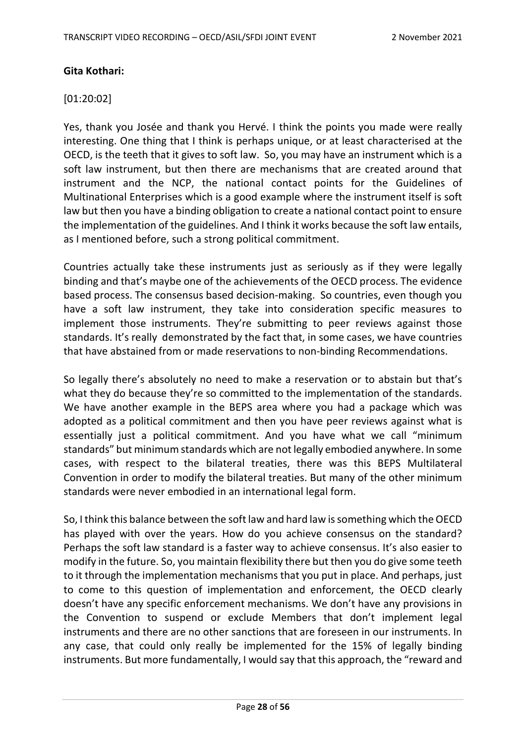## **Gita Kothari:**

### [01:20:02]

Yes, thank you Josée and thank you Hervé. I think the points you made were really interesting. One thing that I think is perhaps unique, or at least characterised at the OECD, is the teeth that it gives to soft law. So, you may have an instrument which is a soft law instrument, but then there are mechanisms that are created around that instrument and the NCP, the national contact points for the Guidelines of Multinational Enterprises which is a good example where the instrument itself is soft law but then you have a binding obligation to create a national contact point to ensure the implementation of the guidelines. And I think it works because the soft law entails, as I mentioned before, such a strong political commitment.

Countries actually take these instruments just as seriously as if they were legally binding and that's maybe one of the achievements of the OECD process. The evidence based process. The consensus based decision-making. So countries, even though you have a soft law instrument, they take into consideration specific measures to implement those instruments. They're submitting to peer reviews against those standards. It's really demonstrated by the fact that, in some cases, we have countries that have abstained from or made reservations to non-binding Recommendations.

So legally there's absolutely no need to make a reservation or to abstain but that's what they do because they're so committed to the implementation of the standards. We have another example in the BEPS area where you had a package which was adopted as a political commitment and then you have peer reviews against what is essentially just a political commitment. And you have what we call "minimum standards" but minimum standards which are not legally embodied anywhere. In some cases, with respect to the bilateral treaties, there was this BEPS Multilateral Convention in order to modify the bilateral treaties. But many of the other minimum standards were never embodied in an international legal form.

So, I think this balance between the soft law and hard law is something which the OECD has played with over the years. How do you achieve consensus on the standard? Perhaps the soft law standard is a faster way to achieve consensus. It's also easier to modify in the future. So, you maintain flexibility there but then you do give some teeth to it through the implementation mechanisms that you put in place. And perhaps, just to come to this question of implementation and enforcement, the OECD clearly doesn't have any specific enforcement mechanisms. We don't have any provisions in the Convention to suspend or exclude Members that don't implement legal instruments and there are no other sanctions that are foreseen in our instruments. In any case, that could only really be implemented for the 15% of legally binding instruments. But more fundamentally, I would say that this approach, the "reward and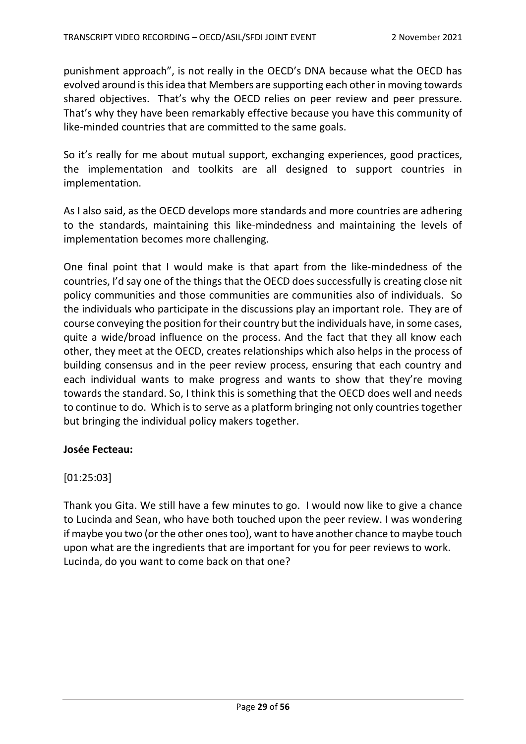punishment approach", is not really in the OECD's DNA because what the OECD has evolved around is thisidea that Members are supporting each other in moving towards shared objectives. That's why the OECD relies on peer review and peer pressure. That's why they have been remarkably effective because you have this community of like-minded countries that are committed to the same goals.

So it's really for me about mutual support, exchanging experiences, good practices, the implementation and toolkits are all designed to support countries in implementation.

As I also said, as the OECD develops more standards and more countries are adhering to the standards, maintaining this like-mindedness and maintaining the levels of implementation becomes more challenging.

One final point that I would make is that apart from the like-mindedness of the countries, I'd say one of the things that the OECD does successfully is creating close nit policy communities and those communities are communities also of individuals. So the individuals who participate in the discussions play an important role. They are of course conveying the position for their country but the individuals have, in some cases, quite a wide/broad influence on the process. And the fact that they all know each other, they meet at the OECD, creates relationships which also helps in the process of building consensus and in the peer review process, ensuring that each country and each individual wants to make progress and wants to show that they're moving towards the standard. So, I think this is something that the OECD does well and needs to continue to do. Which is to serve as a platform bringing not only countries together but bringing the individual policy makers together.

# **Josée Fecteau:**

# [01:25:03]

Thank you Gita. We still have a few minutes to go. I would now like to give a chance to Lucinda and Sean, who have both touched upon the peer review. I was wondering if maybe you two (or the other ones too), want to have another chance to maybe touch upon what are the ingredients that are important for you for peer reviews to work. Lucinda, do you want to come back on that one?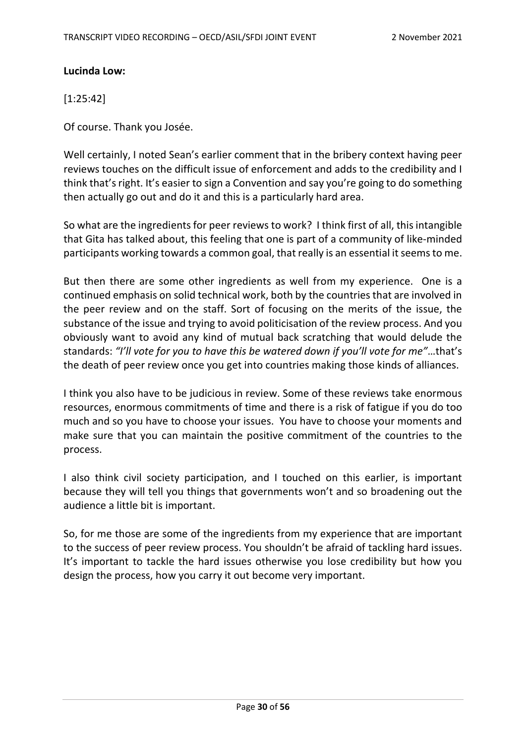## **Lucinda Low:**

[1:25:42]

Of course. Thank you Josée.

Well certainly, I noted Sean's earlier comment that in the bribery context having peer reviews touches on the difficult issue of enforcement and adds to the credibility and I think that's right. It's easier to sign a Convention and say you're going to do something then actually go out and do it and this is a particularly hard area.

So what are the ingredients for peer reviews to work? I think first of all, this intangible that Gita has talked about, this feeling that one is part of a community of like-minded participants working towards a common goal, that really is an essential it seems to me.

But then there are some other ingredients as well from my experience. One is a continued emphasis on solid technical work, both by the countries that are involved in the peer review and on the staff. Sort of focusing on the merits of the issue, the substance of the issue and trying to avoid politicisation of the review process. And you obviously want to avoid any kind of mutual back scratching that would delude the standards: *"I'll vote for you to have this be watered down if you'll vote for me"*…that's the death of peer review once you get into countries making those kinds of alliances.

I think you also have to be judicious in review. Some of these reviews take enormous resources, enormous commitments of time and there is a risk of fatigue if you do too much and so you have to choose your issues. You have to choose your moments and make sure that you can maintain the positive commitment of the countries to the process.

I also think civil society participation, and I touched on this earlier, is important because they will tell you things that governments won't and so broadening out the audience a little bit is important.

So, for me those are some of the ingredients from my experience that are important to the success of peer review process. You shouldn't be afraid of tackling hard issues. It's important to tackle the hard issues otherwise you lose credibility but how you design the process, how you carry it out become very important.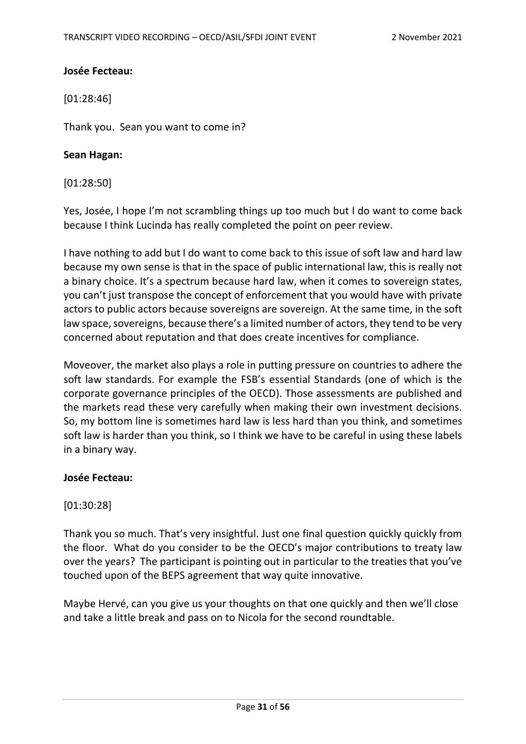## **Josée Fecteau:**

[01:28:46]

Thank you. Sean you want to come in?

### **Sean Hagan:**

[01:28:50]

Yes, Josée, I hope I'm not scrambling things up too much but I do want to come back because I think Lucinda has really completed the point on peer review.

I have nothing to add but I do want to come back to this issue of soft law and hard law because my own sense is that in the space of public international law, this is really not a binary choice. It's a spectrum because hard law, when it comes to sovereign states, you can't just transpose the concept of enforcement that you would have with private actors to public actors because sovereigns are sovereign. At the same time, in the soft law space, sovereigns, because there's a limited number of actors, they tend to be very concerned about reputation and that does create incentives for compliance.

Moveover, the market also plays a role in putting pressure on countries to adhere the soft law standards. For example the FSB's essential Standards (one of which is the corporate governance principles of the OECD). Those assessments are published and the markets read these very carefully when making their own investment decisions. So, my bottom line is sometimes hard law is less hard than you think, and sometimes soft law is harder than you think, so I think we have to be careful in using these labels in a binary way.

### **Josée Fecteau:**

# [01:30:28]

Thank you so much. That's very insightful. Just one final question quickly quickly from the floor. What do you consider to be the OECD's major contributions to treaty law over the years? The participant is pointing out in particular to the treaties that you've touched upon of the BEPS agreement that way quite innovative.

Maybe Hervé, can you give us your thoughts on that one quickly and then we'll close and take a little break and pass on to Nicola for the second roundtable.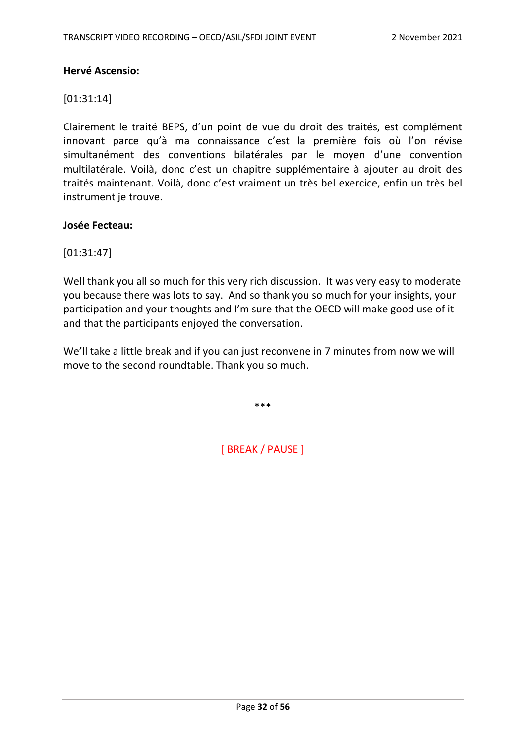## **Hervé Ascensio:**

# [01:31:14]

Clairement le traité BEPS, d'un point de vue du droit des traités, est complément innovant parce qu'à ma connaissance c'est la première fois où l'on révise simultanément des conventions bilatérales par le moyen d'une convention multilatérale. Voilà, donc c'est un chapitre supplémentaire à ajouter au droit des traités maintenant. Voilà, donc c'est vraiment un très bel exercice, enfin un très bel instrument je trouve.

### **Josée Fecteau:**

# [01:31:47]

Well thank you all so much for this very rich discussion. It was very easy to moderate you because there was lots to say. And so thank you so much for your insights, your participation and your thoughts and I'm sure that the OECD will make good use of it and that the participants enjoyed the conversation.

We'll take a little break and if you can just reconvene in 7 minutes from now we will move to the second roundtable. Thank you so much.

\*\*\*

[ BREAK / PAUSE ]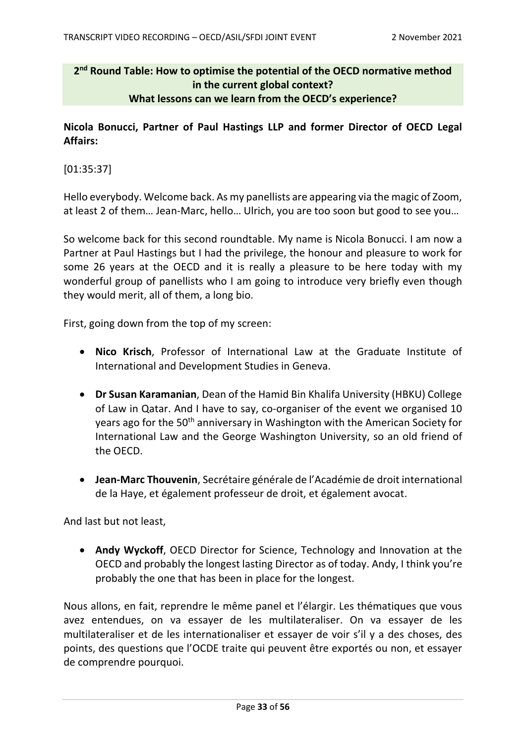# **2nd Round Table: How to optimise the potential of the OECD normative method in the current global context? What lessons can we learn from the OECD's experience?**

**Nicola Bonucci, Partner of Paul Hastings LLP and former Director of OECD Legal Affairs:**

[01:35:37]

Hello everybody. Welcome back. As my panellists are appearing via the magic of Zoom, at least 2 of them… Jean-Marc, hello… Ulrich, you are too soon but good to see you…

So welcome back for this second roundtable. My name is Nicola Bonucci. I am now a Partner at Paul Hastings but I had the privilege, the honour and pleasure to work for some 26 years at the OECD and it is really a pleasure to be here today with my wonderful group of panellists who I am going to introduce very briefly even though they would merit, all of them, a long bio.

First, going down from the top of my screen:

- **Nico Krisch**, Professor of International Law at the Graduate Institute of International and Development Studies in Geneva.
- **Dr Susan Karamanian**, Dean of the Hamid Bin Khalifa University (HBKU) College of Law in Qatar. And I have to say, co-organiser of the event we organised 10 years ago for the 50<sup>th</sup> anniversary in Washington with the American Society for International Law and the George Washington University, so an old friend of the OECD.
- **Jean-Marc Thouvenin**, Secrétaire générale de l'Académie de droit international de la Haye, et également professeur de droit, et également avocat.

And last but not least,

• **Andy Wyckoff**, OECD Director for Science, Technology and Innovation at the OECD and probably the longest lasting Director as of today. Andy, I think you're probably the one that has been in place for the longest.

Nous allons, en fait, reprendre le même panel et l'élargir. Les thématiques que vous avez entendues, on va essayer de les multilateraliser. On va essayer de les multilateraliser et de les internationaliser et essayer de voir s'il y a des choses, des points, des questions que l'OCDE traite qui peuvent être exportés ou non, et essayer de comprendre pourquoi.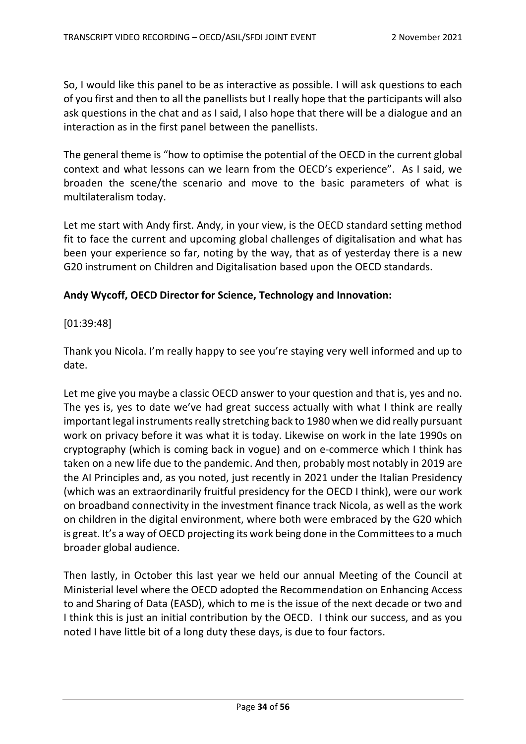So, I would like this panel to be as interactive as possible. I will ask questions to each of you first and then to all the panellists but I really hope that the participants will also ask questions in the chat and as I said, I also hope that there will be a dialogue and an interaction as in the first panel between the panellists.

The general theme is "how to optimise the potential of the OECD in the current global context and what lessons can we learn from the OECD's experience". As I said, we broaden the scene/the scenario and move to the basic parameters of what is multilateralism today.

Let me start with Andy first. Andy, in your view, is the OECD standard setting method fit to face the current and upcoming global challenges of digitalisation and what has been your experience so far, noting by the way, that as of yesterday there is a new G20 instrument on Children and Digitalisation based upon the OECD standards.

## **Andy Wycoff, OECD Director for Science, Technology and Innovation:**

## [01:39:48]

Thank you Nicola. I'm really happy to see you're staying very well informed and up to date.

Let me give you maybe a classic OECD answer to your question and that is, yes and no. The yes is, yes to date we've had great success actually with what I think are really important legal instruments really stretching back to 1980 when we did really pursuant work on privacy before it was what it is today. Likewise on work in the late 1990s on cryptography (which is coming back in vogue) and on e-commerce which I think has taken on a new life due to the pandemic. And then, probably most notably in 2019 are the AI Principles and, as you noted, just recently in 2021 under the Italian Presidency (which was an extraordinarily fruitful presidency for the OECD I think), were our work on broadband connectivity in the investment finance track Nicola, as well as the work on children in the digital environment, where both were embraced by the G20 which is great. It's a way of OECD projecting its work being done in the Committees to a much broader global audience.

Then lastly, in October this last year we held our annual Meeting of the Council at Ministerial level where the OECD adopted the Recommendation on Enhancing Access to and Sharing of Data (EASD), which to me is the issue of the next decade or two and I think this is just an initial contribution by the OECD. I think our success, and as you noted I have little bit of a long duty these days, is due to four factors.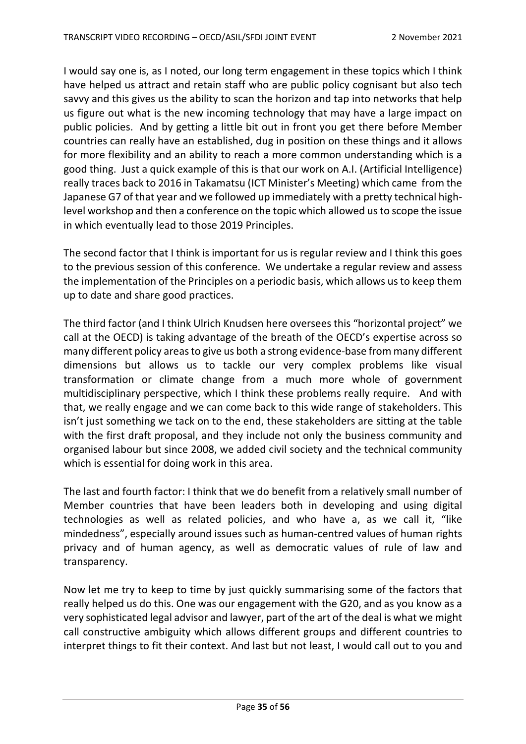I would say one is, as I noted, our long term engagement in these topics which I think have helped us attract and retain staff who are public policy cognisant but also tech savvy and this gives us the ability to scan the horizon and tap into networks that help us figure out what is the new incoming technology that may have a large impact on public policies. And by getting a little bit out in front you get there before Member countries can really have an established, dug in position on these things and it allows for more flexibility and an ability to reach a more common understanding which is a good thing. Just a quick example of this is that our work on A.I. (Artificial Intelligence) really traces back to 2016 in Takamatsu (ICT Minister's Meeting) which came from the Japanese G7 of that year and we followed up immediately with a pretty technical highlevel workshop and then a conference on the topic which allowed us to scope the issue in which eventually lead to those 2019 Principles.

The second factor that I think is important for us is regular review and I think this goes to the previous session of this conference. We undertake a regular review and assess the implementation of the Principles on a periodic basis, which allows us to keep them up to date and share good practices.

The third factor (and I think Ulrich Knudsen here oversees this "horizontal project" we call at the OECD) is taking advantage of the breath of the OECD's expertise across so many different policy areasto give us both a strong evidence-base from many different dimensions but allows us to tackle our very complex problems like visual transformation or climate change from a much more whole of government multidisciplinary perspective, which I think these problems really require. And with that, we really engage and we can come back to this wide range of stakeholders. This isn't just something we tack on to the end, these stakeholders are sitting at the table with the first draft proposal, and they include not only the business community and organised labour but since 2008, we added civil society and the technical community which is essential for doing work in this area.

The last and fourth factor: I think that we do benefit from a relatively small number of Member countries that have been leaders both in developing and using digital technologies as well as related policies, and who have a, as we call it, "like mindedness", especially around issues such as human-centred values of human rights privacy and of human agency, as well as democratic values of rule of law and transparency.

Now let me try to keep to time by just quickly summarising some of the factors that really helped us do this. One was our engagement with the G20, and as you know as a very sophisticated legal advisor and lawyer, part of the art of the deal is what we might call constructive ambiguity which allows different groups and different countries to interpret things to fit their context. And last but not least, I would call out to you and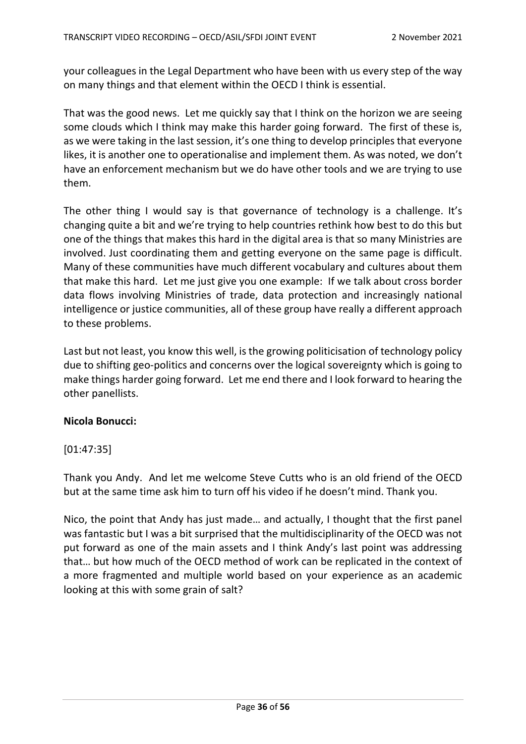your colleagues in the Legal Department who have been with us every step of the way on many things and that element within the OECD I think is essential.

That was the good news. Let me quickly say that I think on the horizon we are seeing some clouds which I think may make this harder going forward. The first of these is, as we were taking in the last session, it's one thing to develop principles that everyone likes, it is another one to operationalise and implement them. As was noted, we don't have an enforcement mechanism but we do have other tools and we are trying to use them.

The other thing I would say is that governance of technology is a challenge. It's changing quite a bit and we're trying to help countries rethink how best to do this but one of the things that makes this hard in the digital area is that so many Ministries are involved. Just coordinating them and getting everyone on the same page is difficult. Many of these communities have much different vocabulary and cultures about them that make this hard. Let me just give you one example: If we talk about cross border data flows involving Ministries of trade, data protection and increasingly national intelligence or justice communities, all of these group have really a different approach to these problems.

Last but not least, you know this well, is the growing politicisation of technology policy due to shifting geo-politics and concerns over the logical sovereignty which is going to make things harder going forward. Let me end there and I look forward to hearing the other panellists.

### **Nicola Bonucci:**

# [01:47:35]

Thank you Andy. And let me welcome Steve Cutts who is an old friend of the OECD but at the same time ask him to turn off his video if he doesn't mind. Thank you.

Nico, the point that Andy has just made… and actually, I thought that the first panel was fantastic but I was a bit surprised that the multidisciplinarity of the OECD was not put forward as one of the main assets and I think Andy's last point was addressing that… but how much of the OECD method of work can be replicated in the context of a more fragmented and multiple world based on your experience as an academic looking at this with some grain of salt?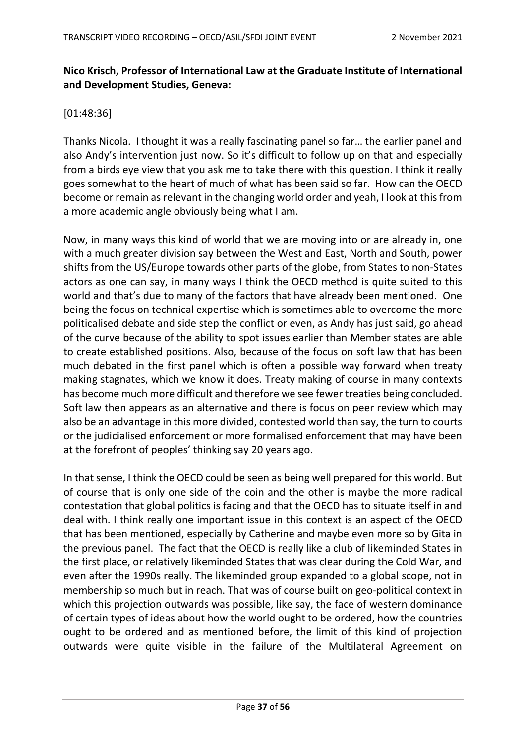# **Nico Krisch, Professor of International Law at the Graduate Institute of International and Development Studies, Geneva:**

[01:48:36]

Thanks Nicola. I thought it was a really fascinating panel so far… the earlier panel and also Andy's intervention just now. So it's difficult to follow up on that and especially from a birds eye view that you ask me to take there with this question. I think it really goes somewhat to the heart of much of what has been said so far. How can the OECD become or remain as relevant in the changing world order and yeah, I look at this from a more academic angle obviously being what I am.

Now, in many ways this kind of world that we are moving into or are already in, one with a much greater division say between the West and East, North and South, power shifts from the US/Europe towards other parts of the globe, from States to non-States actors as one can say, in many ways I think the OECD method is quite suited to this world and that's due to many of the factors that have already been mentioned. One being the focus on technical expertise which is sometimes able to overcome the more politicalised debate and side step the conflict or even, as Andy has just said, go ahead of the curve because of the ability to spot issues earlier than Member states are able to create established positions. Also, because of the focus on soft law that has been much debated in the first panel which is often a possible way forward when treaty making stagnates, which we know it does. Treaty making of course in many contexts has become much more difficult and therefore we see fewer treaties being concluded. Soft law then appears as an alternative and there is focus on peer review which may also be an advantage in this more divided, contested world than say, the turn to courts or the judicialised enforcement or more formalised enforcement that may have been at the forefront of peoples' thinking say 20 years ago.

In that sense, I think the OECD could be seen as being well prepared for this world. But of course that is only one side of the coin and the other is maybe the more radical contestation that global politics is facing and that the OECD has to situate itself in and deal with. I think really one important issue in this context is an aspect of the OECD that has been mentioned, especially by Catherine and maybe even more so by Gita in the previous panel. The fact that the OECD is really like a club of likeminded States in the first place, or relatively likeminded States that was clear during the Cold War, and even after the 1990s really. The likeminded group expanded to a global scope, not in membership so much but in reach. That was of course built on geo-political context in which this projection outwards was possible, like say, the face of western dominance of certain types of ideas about how the world ought to be ordered, how the countries ought to be ordered and as mentioned before, the limit of this kind of projection outwards were quite visible in the failure of the Multilateral Agreement on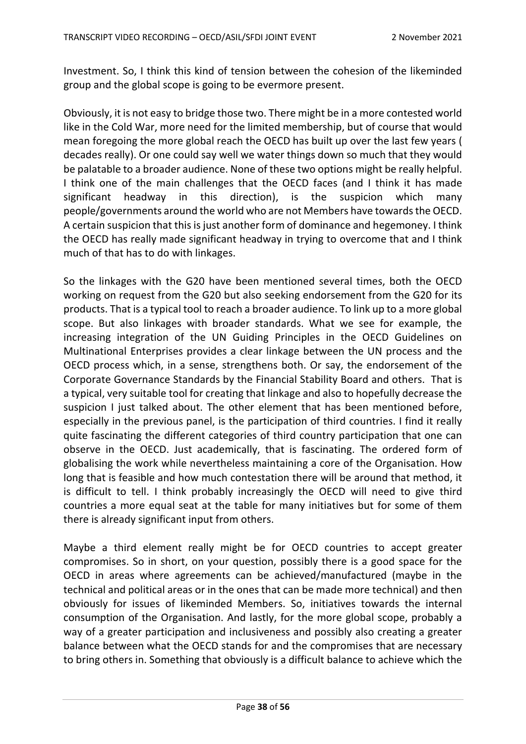Investment. So, I think this kind of tension between the cohesion of the likeminded group and the global scope is going to be evermore present.

Obviously, it is not easy to bridge those two. There might be in a more contested world like in the Cold War, more need for the limited membership, but of course that would mean foregoing the more global reach the OECD has built up over the last few years ( decades really). Or one could say well we water things down so much that they would be palatable to a broader audience. None of these two options might be really helpful. I think one of the main challenges that the OECD faces (and I think it has made significant headway in this direction), is the suspicion which many people/governments around the world who are not Members have towards the OECD. A certain suspicion that this is just another form of dominance and hegemoney. I think the OECD has really made significant headway in trying to overcome that and I think much of that has to do with linkages.

So the linkages with the G20 have been mentioned several times, both the OECD working on request from the G20 but also seeking endorsement from the G20 for its products. That is a typical tool to reach a broader audience. To link up to a more global scope. But also linkages with broader standards. What we see for example, the increasing integration of the UN Guiding Principles in the OECD Guidelines on Multinational Enterprises provides a clear linkage between the UN process and the OECD process which, in a sense, strengthens both. Or say, the endorsement of the Corporate Governance Standards by the Financial Stability Board and others. That is a typical, very suitable tool for creating that linkage and also to hopefully decrease the suspicion I just talked about. The other element that has been mentioned before, especially in the previous panel, is the participation of third countries. I find it really quite fascinating the different categories of third country participation that one can observe in the OECD. Just academically, that is fascinating. The ordered form of globalising the work while nevertheless maintaining a core of the Organisation. How long that is feasible and how much contestation there will be around that method, it is difficult to tell. I think probably increasingly the OECD will need to give third countries a more equal seat at the table for many initiatives but for some of them there is already significant input from others.

Maybe a third element really might be for OECD countries to accept greater compromises. So in short, on your question, possibly there is a good space for the OECD in areas where agreements can be achieved/manufactured (maybe in the technical and political areas or in the ones that can be made more technical) and then obviously for issues of likeminded Members. So, initiatives towards the internal consumption of the Organisation. And lastly, for the more global scope, probably a way of a greater participation and inclusiveness and possibly also creating a greater balance between what the OECD stands for and the compromises that are necessary to bring others in. Something that obviously is a difficult balance to achieve which the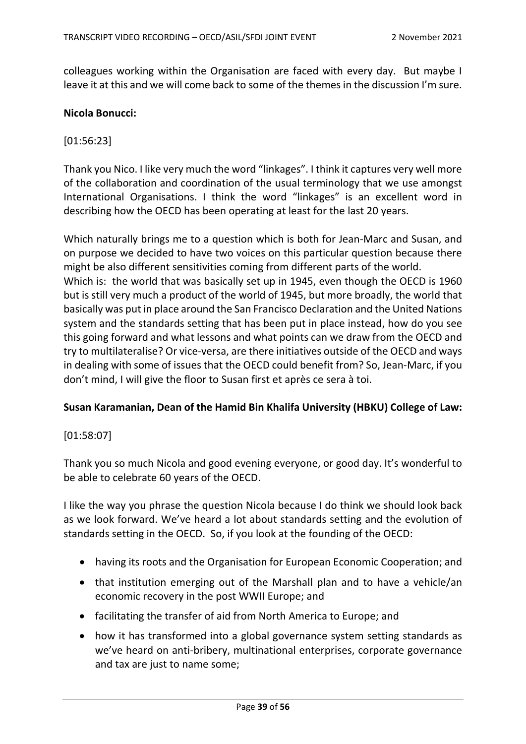colleagues working within the Organisation are faced with every day. But maybe I leave it at this and we will come back to some of the themes in the discussion I'm sure.

#### **Nicola Bonucci:**

### [01:56:23]

Thank you Nico. I like very much the word "linkages". I think it captures very well more of the collaboration and coordination of the usual terminology that we use amongst International Organisations. I think the word "linkages" is an excellent word in describing how the OECD has been operating at least for the last 20 years.

Which naturally brings me to a question which is both for Jean-Marc and Susan, and on purpose we decided to have two voices on this particular question because there might be also different sensitivities coming from different parts of the world. Which is: the world that was basically set up in 1945, even though the OECD is 1960 but is still very much a product of the world of 1945, but more broadly, the world that basically was put in place around the San Francisco Declaration and the United Nations system and the standards setting that has been put in place instead, how do you see this going forward and what lessons and what points can we draw from the OECD and try to multilateralise? Or vice-versa, are there initiatives outside of the OECD and ways in dealing with some of issues that the OECD could benefit from? So, Jean-Marc, if you don't mind, I will give the floor to Susan first et après ce sera à toi.

### **Susan Karamanian, Dean of the Hamid Bin Khalifa University (HBKU) College of Law:**

### [01:58:07]

Thank you so much Nicola and good evening everyone, or good day. It's wonderful to be able to celebrate 60 years of the OECD.

I like the way you phrase the question Nicola because I do think we should look back as we look forward. We've heard a lot about standards setting and the evolution of standards setting in the OECD. So, if you look at the founding of the OECD:

- having its roots and the Organisation for European Economic Cooperation; and
- that institution emerging out of the Marshall plan and to have a vehicle/an economic recovery in the post WWII Europe; and
- facilitating the transfer of aid from North America to Europe; and
- how it has transformed into a global governance system setting standards as we've heard on anti-bribery, multinational enterprises, corporate governance and tax are just to name some;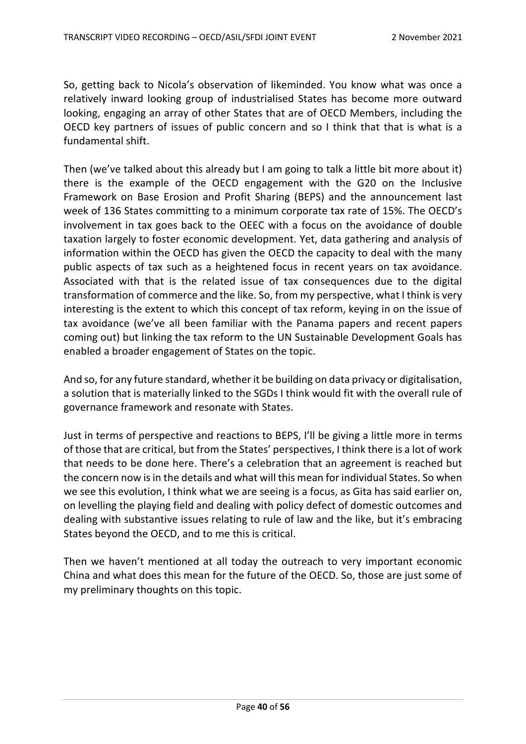So, getting back to Nicola's observation of likeminded. You know what was once a relatively inward looking group of industrialised States has become more outward looking, engaging an array of other States that are of OECD Members, including the OECD key partners of issues of public concern and so I think that that is what is a fundamental shift.

Then (we've talked about this already but I am going to talk a little bit more about it) there is the example of the OECD engagement with the G20 on the Inclusive Framework on Base Erosion and Profit Sharing (BEPS) and the announcement last week of 136 States committing to a minimum corporate tax rate of 15%. The OECD's involvement in tax goes back to the OEEC with a focus on the avoidance of double taxation largely to foster economic development. Yet, data gathering and analysis of information within the OECD has given the OECD the capacity to deal with the many public aspects of tax such as a heightened focus in recent years on tax avoidance. Associated with that is the related issue of tax consequences due to the digital transformation of commerce and the like. So, from my perspective, what I think is very interesting is the extent to which this concept of tax reform, keying in on the issue of tax avoidance (we've all been familiar with the Panama papers and recent papers coming out) but linking the tax reform to the UN Sustainable Development Goals has enabled a broader engagement of States on the topic.

And so, for any future standard, whether it be building on data privacy or digitalisation, a solution that is materially linked to the SGDs I think would fit with the overall rule of governance framework and resonate with States.

Just in terms of perspective and reactions to BEPS, I'll be giving a little more in terms of those that are critical, but from the States' perspectives, I think there is a lot of work that needs to be done here. There's a celebration that an agreement is reached but the concern now is in the details and what will this mean for individual States. So when we see this evolution, I think what we are seeing is a focus, as Gita has said earlier on, on levelling the playing field and dealing with policy defect of domestic outcomes and dealing with substantive issues relating to rule of law and the like, but it's embracing States beyond the OECD, and to me this is critical.

Then we haven't mentioned at all today the outreach to very important economic China and what does this mean for the future of the OECD. So, those are just some of my preliminary thoughts on this topic.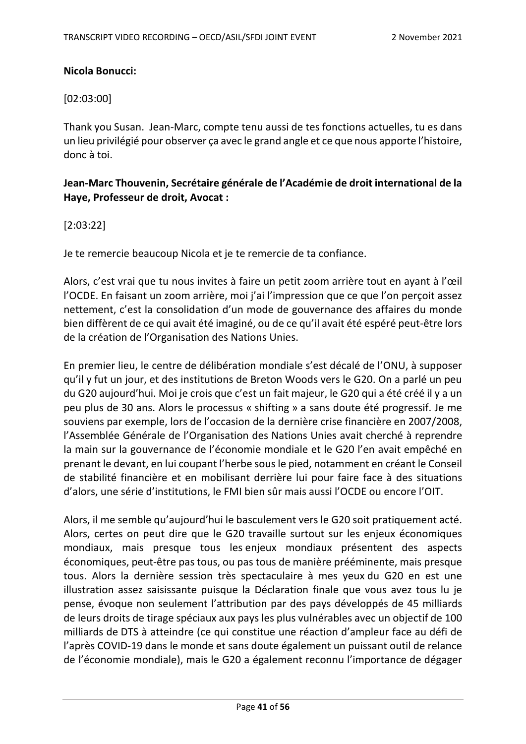### **Nicola Bonucci:**

### [02:03:00]

Thank you Susan. Jean-Marc, compte tenu aussi de tes fonctions actuelles, tu es dans un lieu privilégié pour observer ça avec le grand angle et ce que nous apporte l'histoire, donc à toi.

# **Jean-Marc Thouvenin, Secrétaire générale de l'Académie de droit international de la Haye, Professeur de droit, Avocat :**

## [2:03:22]

Je te remercie beaucoup Nicola et je te remercie de ta confiance.

Alors, c'est vrai que tu nous invites à faire un petit zoom arrière tout en ayant à l'œil l'OCDE. En faisant un zoom arrière, moi j'ai l'impression que ce que l'on perçoit assez nettement, c'est la consolidation d'un mode de gouvernance des affaires du monde bien diffèrent de ce qui avait été imaginé, ou de ce qu'il avait été espéré peut-être lors de la création de l'Organisation des Nations Unies.

En premier lieu, le centre de délibération mondiale s'est décalé de l'ONU, à supposer qu'il y fut un jour, et des institutions de Breton Woods vers le G20. On a parlé un peu du G20 aujourd'hui. Moi je crois que c'est un fait majeur, le G20 qui a été créé il y a un peu plus de 30 ans. Alors le processus « shifting » a sans doute été progressif. Je me souviens par exemple, lors de l'occasion de la dernière crise financière en 2007/2008, l'Assemblée Générale de l'Organisation des Nations Unies avait cherché à reprendre la main sur la gouvernance de l'économie mondiale et le G20 l'en avait empêché en prenant le devant, en lui coupant l'herbe sous le pied, notamment en créant le Conseil de stabilité financière et en mobilisant derrière lui pour faire face à des situations d'alors, une série d'institutions, le FMI bien sûr mais aussi l'OCDE ou encore l'OIT.

Alors, il me semble qu'aujourd'hui le basculement vers le G20 soit pratiquement acté. Alors, certes on peut dire que le G20 travaille surtout sur les enjeux économiques mondiaux, mais presque tous les enjeux mondiaux présentent des aspects économiques, peut-être pas tous, ou pas tous de manière prééminente, mais presque tous. Alors la dernière session très spectaculaire à mes yeux du G20 en est une illustration assez saisissante puisque la Déclaration finale que vous avez tous lu je pense, évoque non seulement l'attribution par des pays développés de 45 milliards de leurs droits de tirage spéciaux aux pays les plus vulnérables avec un objectif de 100 milliards de DTS à atteindre (ce qui constitue une réaction d'ampleur face au défi de l'après COVID-19 dans le monde et sans doute également un puissant outil de relance de l'économie mondiale), mais le G20 a également reconnu l'importance de dégager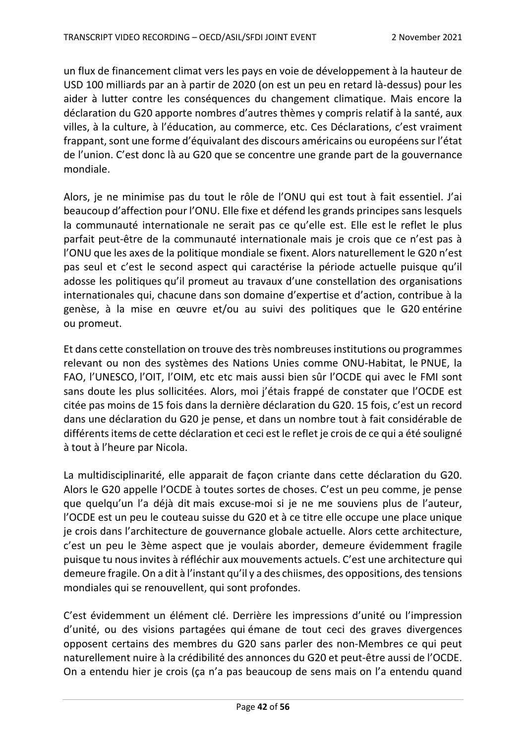un flux de financement climat vers les pays en voie de développement à la hauteur de USD 100 milliards par an à partir de 2020 (on est un peu en retard là-dessus) pour les aider à lutter contre les conséquences du changement climatique. Mais encore la déclaration du G20 apporte nombres d'autres thèmes y compris relatif à la santé, aux villes, à la culture, à l'éducation, au commerce, etc. Ces Déclarations, c'est vraiment frappant, sont une forme d'équivalant des discours américains ou européens sur l'état de l'union. C'est donc là au G20 que se concentre une grande part de la gouvernance mondiale.

Alors, je ne minimise pas du tout le rôle de l'ONU qui est tout à fait essentiel. J'ai beaucoup d'affection pour l'ONU. Elle fixe et défend les grands principes sans lesquels la communauté internationale ne serait pas ce qu'elle est. Elle est le reflet le plus parfait peut-être de la communauté internationale mais je crois que ce n'est pas à l'ONU que les axes de la politique mondiale se fixent. Alors naturellement le G20 n'est pas seul et c'est le second aspect qui caractérise la période actuelle puisque qu'il adosse les politiques qu'il promeut au travaux d'une constellation des organisations internationales qui, chacune dans son domaine d'expertise et d'action, contribue à la genèse, à la mise en œuvre et/ou au suivi des politiques que le G20 entérine ou promeut.

Et dans cette constellation on trouve des très nombreuses institutions ou programmes relevant ou non des systèmes des Nations Unies comme ONU-Habitat, le PNUE, la FAO, l'UNESCO, l'OIT, l'OIM, etc etc mais aussi bien sûr l'OCDE qui avec le FMI sont sans doute les plus sollicitées. Alors, moi j'étais frappé de constater que l'OCDE est citée pas moins de 15 fois dans la dernière déclaration du G20. 15 fois, c'est un record dans une déclaration du G20 je pense, et dans un nombre tout à fait considérable de différents items de cette déclaration et ceci est le reflet je crois de ce qui a été souligné à tout à l'heure par Nicola.

La multidisciplinarité, elle apparait de façon criante dans cette déclaration du G20. Alors le G20 appelle l'OCDE à toutes sortes de choses. C'est un peu comme, je pense que quelqu'un l'a déjà dit mais excuse-moi si je ne me souviens plus de l'auteur, l'OCDE est un peu le couteau suisse du G20 et à ce titre elle occupe une place unique je crois dans l'architecture de gouvernance globale actuelle. Alors cette architecture, c'est un peu le 3ème aspect que je voulais aborder, demeure évidemment fragile puisque tu nous invites à réfléchir aux mouvements actuels. C'est une architecture qui demeure fragile. On a dit à l'instant qu'il y a des chiismes, des oppositions, des tensions mondiales qui se renouvellent, qui sont profondes.

C'est évidemment un élément clé. Derrière les impressions d'unité ou l'impression d'unité, ou des visions partagées qui émane de tout ceci des graves divergences opposent certains des membres du G20 sans parler des non-Membres ce qui peut naturellement nuire à la crédibilité des annonces du G20 et peut-être aussi de l'OCDE. On a entendu hier je crois (ça n'a pas beaucoup de sens mais on l'a entendu quand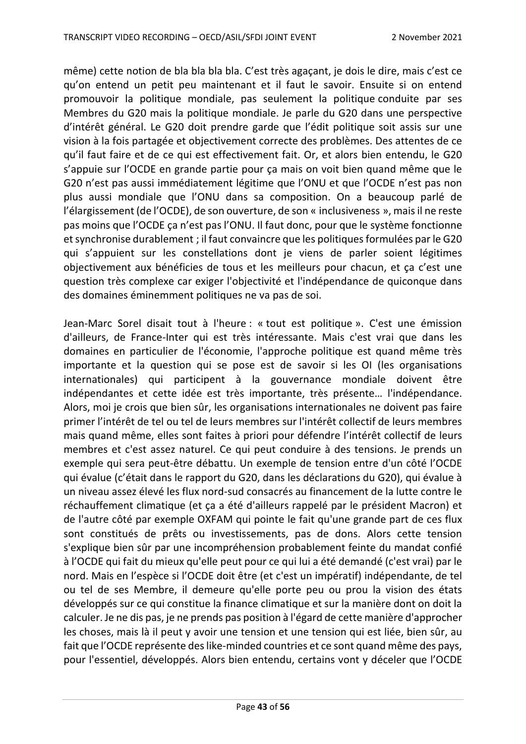même) cette notion de bla bla bla bla. C'est très agaçant, je dois le dire, mais c'est ce qu'on entend un petit peu maintenant et il faut le savoir. Ensuite si on entend promouvoir la politique mondiale, pas seulement la politique conduite par ses Membres du G20 mais la politique mondiale. Je parle du G20 dans une perspective d'intérêt général. Le G20 doit prendre garde que l'édit politique soit assis sur une vision à la fois partagée et objectivement correcte des problèmes. Des attentes de ce qu'il faut faire et de ce qui est effectivement fait. Or, et alors bien entendu, le G20 s'appuie sur l'OCDE en grande partie pour ça mais on voit bien quand même que le G20 n'est pas aussi immédiatement légitime que l'ONU et que l'OCDE n'est pas non plus aussi mondiale que l'ONU dans sa composition. On a beaucoup parlé de l'élargissement (de l'OCDE), de son ouverture, de son « inclusiveness », mais il ne reste pas moins que l'OCDE ça n'est pas l'ONU. Il faut donc, pour que le système fonctionne et synchronise durablement ; il faut convaincre que les politiques formulées par le G20 qui s'appuient sur les constellations dont je viens de parler soient légitimes objectivement aux bénéficies de tous et les meilleurs pour chacun, et ça c'est une question très complexe car exiger l'objectivité et l'indépendance de quiconque dans des domaines éminemment politiques ne va pas de soi.

Jean-Marc Sorel disait tout à l'heure : « tout est politique ». C'est une émission d'ailleurs, de France-Inter qui est très intéressante. Mais c'est vrai que dans les domaines en particulier de l'économie, l'approche politique est quand même très importante et la question qui se pose est de savoir si les OI (les organisations internationales) qui participent à la gouvernance mondiale doivent être indépendantes et cette idée est très importante, très présente… l'indépendance. Alors, moi je crois que bien sûr, les organisations internationales ne doivent pas faire primer l'intérêt de tel ou tel de leurs membres sur l'intérêt collectif de leurs membres mais quand même, elles sont faites à priori pour défendre l'intérêt collectif de leurs membres et c'est assez naturel. Ce qui peut conduire à des tensions. Je prends un exemple qui sera peut-être débattu. Un exemple de tension entre d'un côté l'OCDE qui évalue (c'était dans le rapport du G20, dans les déclarations du G20), qui évalue à un niveau assez élevé les flux nord-sud consacrés au financement de la lutte contre le réchauffement climatique (et ça a été d'ailleurs rappelé par le président Macron) et de l'autre côté par exemple OXFAM qui pointe le fait qu'une grande part de ces flux sont constitués de prêts ou investissements, pas de dons. Alors cette tension s'explique bien sûr par une incompréhension probablement feinte du mandat confié à l'OCDE qui fait du mieux qu'elle peut pour ce qui lui a été demandé (c'est vrai) par le nord. Mais en l'espèce si l'OCDE doit être (et c'est un impératif) indépendante, de tel ou tel de ses Membre, il demeure qu'elle porte peu ou prou la vision des états développés sur ce qui constitue la finance climatique et sur la manière dont on doit la calculer. Je ne dis pas, je ne prends pas position à l'égard de cette manière d'approcher les choses, mais là il peut y avoir une tension et une tension qui est liée, bien sûr, au fait que l'OCDE représente des like-minded countries et ce sont quand même des pays, pour l'essentiel, développés. Alors bien entendu, certains vont y déceler que l'OCDE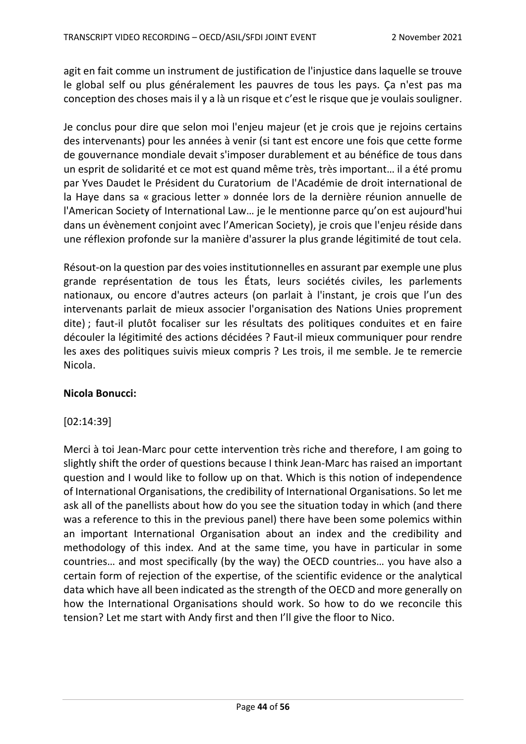agit en fait comme un instrument de justification de l'injustice dans laquelle se trouve le global self ou plus généralement les pauvres de tous les pays. Ça n'est pas ma conception des choses mais il y a là un risque et c'est le risque que je voulais souligner.

Je conclus pour dire que selon moi l'enjeu majeur (et je crois que je rejoins certains des intervenants) pour les années à venir (si tant est encore une fois que cette forme de gouvernance mondiale devait s'imposer durablement et au bénéfice de tous dans un esprit de solidarité et ce mot est quand même très, très important… il a été promu par Yves Daudet le Président du Curatorium de l'Académie de droit international de la Haye dans sa « gracious letter » donnée lors de la dernière réunion annuelle de l'American Society of International Law… je le mentionne parce qu'on est aujourd'hui dans un évènement conjoint avec l'American Society), je crois que l'enjeu réside dans une réflexion profonde sur la manière d'assurer la plus grande légitimité de tout cela.

Résout-on la question par des voies institutionnelles en assurant par exemple une plus grande représentation de tous les États, leurs sociétés civiles, les parlements nationaux, ou encore d'autres acteurs (on parlait à l'instant, je crois que l'un des intervenants parlait de mieux associer l'organisation des Nations Unies proprement dite) ; faut-il plutôt focaliser sur les résultats des politiques conduites et en faire découler la légitimité des actions décidées ? Faut-il mieux communiquer pour rendre les axes des politiques suivis mieux compris ? Les trois, il me semble. Je te remercie Nicola.

### **Nicola Bonucci:**

### [02:14:39]

Merci à toi Jean-Marc pour cette intervention très riche and therefore, I am going to slightly shift the order of questions because I think Jean-Marc has raised an important question and I would like to follow up on that. Which is this notion of independence of International Organisations, the credibility of International Organisations. So let me ask all of the panellists about how do you see the situation today in which (and there was a reference to this in the previous panel) there have been some polemics within an important International Organisation about an index and the credibility and methodology of this index. And at the same time, you have in particular in some countries… and most specifically (by the way) the OECD countries… you have also a certain form of rejection of the expertise, of the scientific evidence or the analytical data which have all been indicated as the strength of the OECD and more generally on how the International Organisations should work. So how to do we reconcile this tension? Let me start with Andy first and then I'll give the floor to Nico.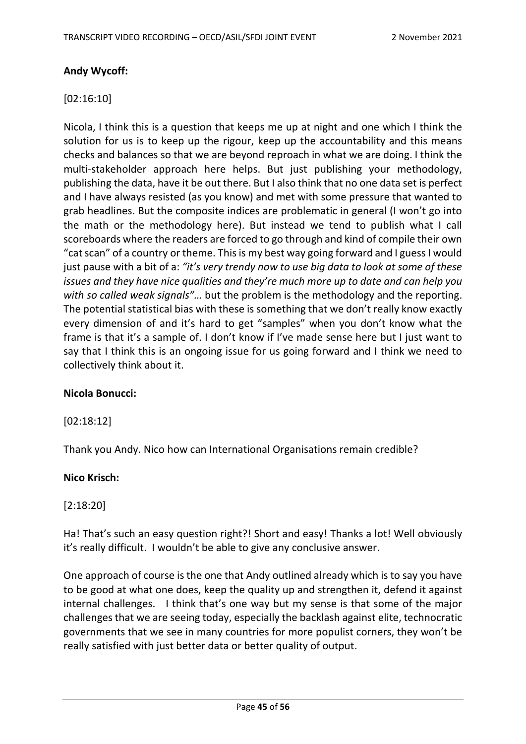## **Andy Wycoff:**

### [02:16:10]

Nicola, I think this is a question that keeps me up at night and one which I think the solution for us is to keep up the rigour, keep up the accountability and this means checks and balances so that we are beyond reproach in what we are doing. I think the multi-stakeholder approach here helps. But just publishing your methodology, publishing the data, have it be out there. But I also think that no one data set is perfect and I have always resisted (as you know) and met with some pressure that wanted to grab headlines. But the composite indices are problematic in general (I won't go into the math or the methodology here). But instead we tend to publish what I call scoreboards where the readers are forced to go through and kind of compile their own "cat scan" of a country or theme. This is my best way going forward and I guess I would just pause with a bit of a: *"it's very trendy now to use big data to look at some of these issues and they have nice qualities and they're much more up to date and can help you with so called weak signals"…* but the problem is the methodology and the reporting. The potential statistical bias with these is something that we don't really know exactly every dimension of and it's hard to get "samples" when you don't know what the frame is that it's a sample of. I don't know if I've made sense here but I just want to say that I think this is an ongoing issue for us going forward and I think we need to collectively think about it.

### **Nicola Bonucci:**

### [02:18:12]

Thank you Andy. Nico how can International Organisations remain credible?

#### **Nico Krisch:**

### [2:18:20]

Ha! That's such an easy question right?! Short and easy! Thanks a lot! Well obviously it's really difficult. I wouldn't be able to give any conclusive answer.

One approach of course is the one that Andy outlined already which is to say you have to be good at what one does, keep the quality up and strengthen it, defend it against internal challenges. I think that's one way but my sense is that some of the major challenges that we are seeing today, especially the backlash against elite, technocratic governments that we see in many countries for more populist corners, they won't be really satisfied with just better data or better quality of output.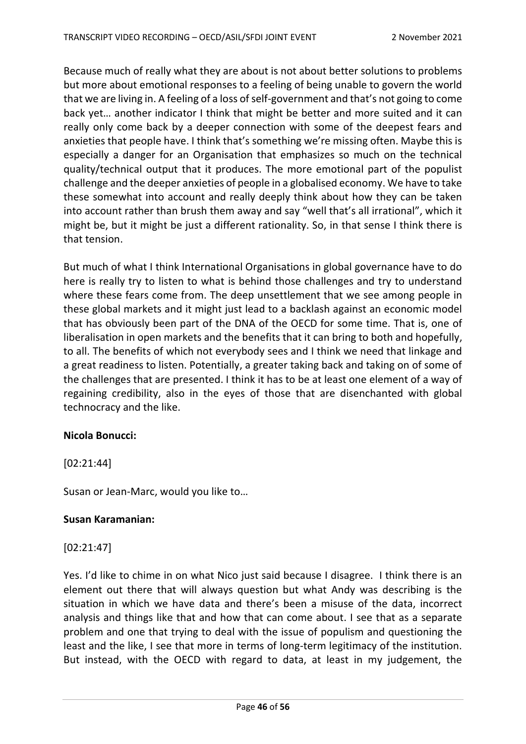Because much of really what they are about is not about better solutions to problems but more about emotional responses to a feeling of being unable to govern the world that we are living in. A feeling of a loss of self-government and that's not going to come back yet… another indicator I think that might be better and more suited and it can really only come back by a deeper connection with some of the deepest fears and anxieties that people have. I think that's something we're missing often. Maybe this is especially a danger for an Organisation that emphasizes so much on the technical quality/technical output that it produces. The more emotional part of the populist challenge and the deeper anxieties of people in a globalised economy. We have to take these somewhat into account and really deeply think about how they can be taken into account rather than brush them away and say "well that's all irrational", which it might be, but it might be just a different rationality. So, in that sense I think there is that tension.

But much of what I think International Organisations in global governance have to do here is really try to listen to what is behind those challenges and try to understand where these fears come from. The deep unsettlement that we see among people in these global markets and it might just lead to a backlash against an economic model that has obviously been part of the DNA of the OECD for some time. That is, one of liberalisation in open markets and the benefits that it can bring to both and hopefully, to all. The benefits of which not everybody sees and I think we need that linkage and a great readiness to listen. Potentially, a greater taking back and taking on of some of the challenges that are presented. I think it has to be at least one element of a way of regaining credibility, also in the eyes of those that are disenchanted with global technocracy and the like.

### **Nicola Bonucci:**

[02:21:44]

Susan or Jean-Marc, would you like to…

### **Susan Karamanian:**

### [02:21:47]

Yes. I'd like to chime in on what Nico just said because I disagree. I think there is an element out there that will always question but what Andy was describing is the situation in which we have data and there's been a misuse of the data, incorrect analysis and things like that and how that can come about. I see that as a separate problem and one that trying to deal with the issue of populism and questioning the least and the like, I see that more in terms of long-term legitimacy of the institution. But instead, with the OECD with regard to data, at least in my judgement, the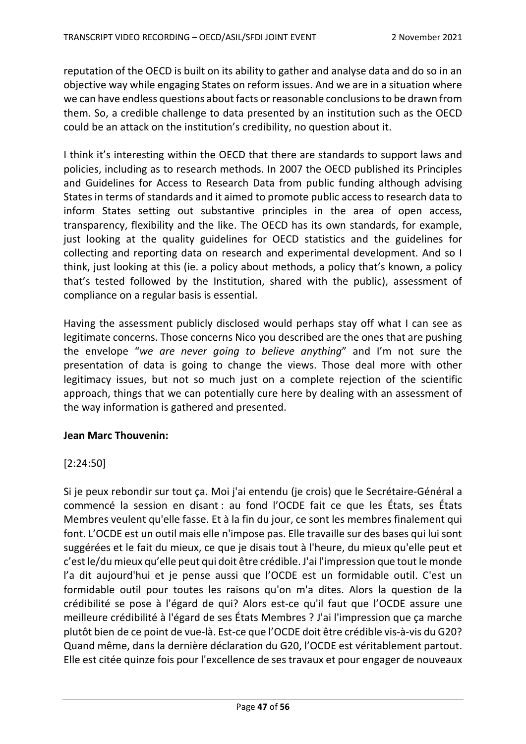reputation of the OECD is built on its ability to gather and analyse data and do so in an objective way while engaging States on reform issues. And we are in a situation where we can have endless questions about facts or reasonable conclusions to be drawn from them. So, a credible challenge to data presented by an institution such as the OECD could be an attack on the institution's credibility, no question about it.

I think it's interesting within the OECD that there are standards to support laws and policies, including as to research methods. In 2007 the OECD published its Principles and Guidelines for Access to Research Data from public funding although advising States in terms of standards and it aimed to promote public access to research data to inform States setting out substantive principles in the area of open access, transparency, flexibility and the like. The OECD has its own standards, for example, just looking at the quality guidelines for OECD statistics and the guidelines for collecting and reporting data on research and experimental development. And so I think, just looking at this (ie. a policy about methods, a policy that's known, a policy that's tested followed by the Institution, shared with the public), assessment of compliance on a regular basis is essential.

Having the assessment publicly disclosed would perhaps stay off what I can see as legitimate concerns. Those concerns Nico you described are the ones that are pushing the envelope "*we are never going to believe anything*" and I'm not sure the presentation of data is going to change the views. Those deal more with other legitimacy issues, but not so much just on a complete rejection of the scientific approach, things that we can potentially cure here by dealing with an assessment of the way information is gathered and presented.

# **Jean Marc Thouvenin:**

# [2:24:50]

Si je peux rebondir sur tout ça. Moi j'ai entendu (je crois) que le Secrétaire-Général a commencé la session en disant : au fond l'OCDE fait ce que les États, ses États Membres veulent qu'elle fasse. Et à la fin du jour, ce sont les membres finalement qui font. L'OCDE est un outil mais elle n'impose pas. Elle travaille sur des bases qui lui sont suggérées et le fait du mieux, ce que je disais tout à l'heure, du mieux qu'elle peut et c'est le/du mieux qu'elle peut qui doit être crédible. J'ai l'impression que tout le monde l'a dit aujourd'hui et je pense aussi que l'OCDE est un formidable outil. C'est un formidable outil pour toutes les raisons qu'on m'a dites. Alors la question de la crédibilité se pose à l'égard de qui? Alors est-ce qu'il faut que l'OCDE assure une meilleure crédibilité à l'égard de ses États Membres ? J'ai l'impression que ça marche plutôt bien de ce point de vue-là. Est-ce que l'OCDE doit être crédible vis-à-vis du G20? Quand même, dans la dernière déclaration du G20, l'OCDE est véritablement partout. Elle est citée quinze fois pour l'excellence de ses travaux et pour engager de nouveaux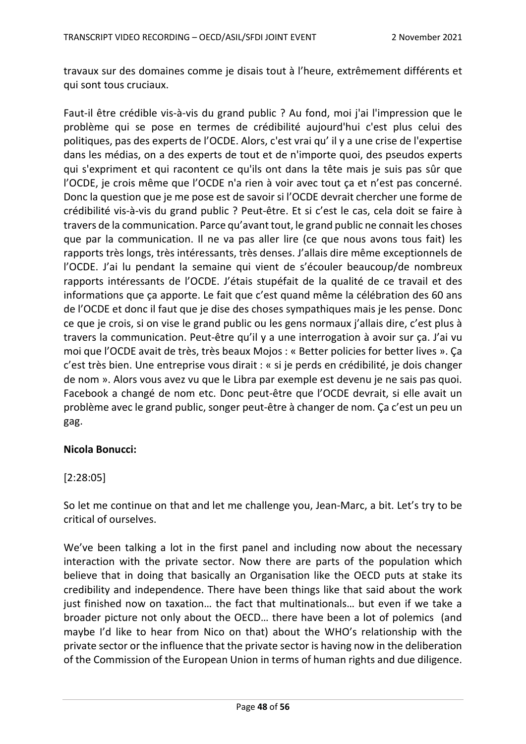travaux sur des domaines comme je disais tout à l'heure, extrêmement différents et qui sont tous cruciaux.

Faut-il être crédible vis-à-vis du grand public ? Au fond, moi j'ai l'impression que le problème qui se pose en termes de crédibilité aujourd'hui c'est plus celui des politiques, pas des experts de l'OCDE. Alors, c'est vrai qu' il y a une crise de l'expertise dans les médias, on a des experts de tout et de n'importe quoi, des pseudos experts qui s'expriment et qui racontent ce qu'ils ont dans la tête mais je suis pas sûr que l'OCDE, je crois même que l'OCDE n'a rien à voir avec tout ça et n'est pas concerné. Donc la question que je me pose est de savoir si l'OCDE devrait chercher une forme de crédibilité vis-à-vis du grand public ? Peut-être. Et si c'est le cas, cela doit se faire à travers de la communication. Parce qu'avant tout, le grand public ne connait les choses que par la communication. Il ne va pas aller lire (ce que nous avons tous fait) les rapports très longs, très intéressants, très denses. J'allais dire même exceptionnels de l'OCDE. J'ai lu pendant la semaine qui vient de s'écouler beaucoup/de nombreux rapports intéressants de l'OCDE. J'étais stupéfait de la qualité de ce travail et des informations que ça apporte. Le fait que c'est quand même la célébration des 60 ans de l'OCDE et donc il faut que je dise des choses sympathiques mais je les pense. Donc ce que je crois, si on vise le grand public ou les gens normaux j'allais dire, c'est plus à travers la communication. Peut-être qu'il y a une interrogation à avoir sur ça. J'ai vu moi que l'OCDE avait de très, très beaux Mojos : « Better policies for better lives ». Ça c'est très bien. Une entreprise vous dirait : « si je perds en crédibilité, je dois changer de nom ». Alors vous avez vu que le Libra par exemple est devenu je ne sais pas quoi. Facebook a changé de nom etc. Donc peut-être que l'OCDE devrait, si elle avait un problème avec le grand public, songer peut-être à changer de nom. Ça c'est un peu un gag.

# **Nicola Bonucci:**

# [2:28:05]

So let me continue on that and let me challenge you, Jean-Marc, a bit. Let's try to be critical of ourselves.

We've been talking a lot in the first panel and including now about the necessary interaction with the private sector. Now there are parts of the population which believe that in doing that basically an Organisation like the OECD puts at stake its credibility and independence. There have been things like that said about the work just finished now on taxation… the fact that multinationals… but even if we take a broader picture not only about the OECD… there have been a lot of polemics (and maybe I'd like to hear from Nico on that) about the WHO's relationship with the private sector or the influence that the private sector is having now in the deliberation of the Commission of the European Union in terms of human rights and due diligence.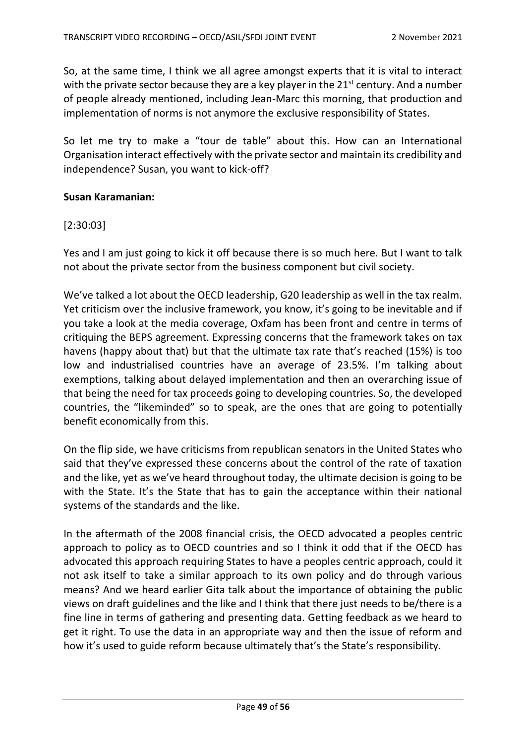So, at the same time, I think we all agree amongst experts that it is vital to interact with the private sector because they are a key player in the 21<sup>st</sup> century. And a number of people already mentioned, including Jean-Marc this morning, that production and implementation of norms is not anymore the exclusive responsibility of States.

So let me try to make a "tour de table" about this. How can an International Organisation interact effectively with the private sector and maintain its credibility and independence? Susan, you want to kick-off?

#### **Susan Karamanian:**

### [2:30:03]

Yes and I am just going to kick it off because there is so much here. But I want to talk not about the private sector from the business component but civil society.

We've talked a lot about the OECD leadership, G20 leadership as well in the tax realm. Yet criticism over the inclusive framework, you know, it's going to be inevitable and if you take a look at the media coverage, Oxfam has been front and centre in terms of critiquing the BEPS agreement. Expressing concerns that the framework takes on tax havens (happy about that) but that the ultimate tax rate that's reached (15%) is too low and industrialised countries have an average of 23.5%. I'm talking about exemptions, talking about delayed implementation and then an overarching issue of that being the need for tax proceeds going to developing countries. So, the developed countries, the "likeminded" so to speak, are the ones that are going to potentially benefit economically from this.

On the flip side, we have criticisms from republican senators in the United States who said that they've expressed these concerns about the control of the rate of taxation and the like, yet as we've heard throughout today, the ultimate decision is going to be with the State. It's the State that has to gain the acceptance within their national systems of the standards and the like.

In the aftermath of the 2008 financial crisis, the OECD advocated a peoples centric approach to policy as to OECD countries and so I think it odd that if the OECD has advocated this approach requiring States to have a peoples centric approach, could it not ask itself to take a similar approach to its own policy and do through various means? And we heard earlier Gita talk about the importance of obtaining the public views on draft guidelines and the like and I think that there just needs to be/there is a fine line in terms of gathering and presenting data. Getting feedback as we heard to get it right. To use the data in an appropriate way and then the issue of reform and how it's used to guide reform because ultimately that's the State's responsibility.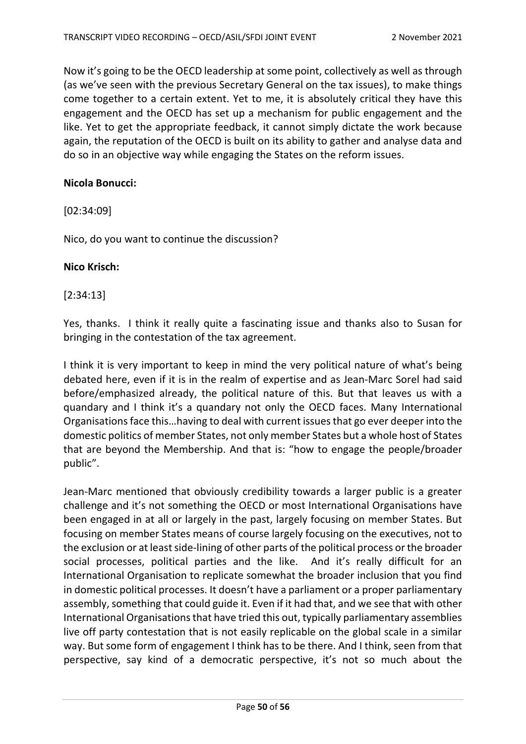Now it's going to be the OECD leadership at some point, collectively as well as through (as we've seen with the previous Secretary General on the tax issues), to make things come together to a certain extent. Yet to me, it is absolutely critical they have this engagement and the OECD has set up a mechanism for public engagement and the like. Yet to get the appropriate feedback, it cannot simply dictate the work because again, the reputation of the OECD is built on its ability to gather and analyse data and do so in an objective way while engaging the States on the reform issues.

#### **Nicola Bonucci:**

[02:34:09]

Nico, do you want to continue the discussion?

#### **Nico Krisch:**

### [2:34:13]

Yes, thanks. I think it really quite a fascinating issue and thanks also to Susan for bringing in the contestation of the tax agreement.

I think it is very important to keep in mind the very political nature of what's being debated here, even if it is in the realm of expertise and as Jean-Marc Sorel had said before/emphasized already, the political nature of this. But that leaves us with a quandary and I think it's a quandary not only the OECD faces. Many International Organisations face this…having to deal with current issues that go ever deeper into the domestic politics of member States, not only member States but a whole host of States that are beyond the Membership. And that is: "how to engage the people/broader public".

Jean-Marc mentioned that obviously credibility towards a larger public is a greater challenge and it's not something the OECD or most International Organisations have been engaged in at all or largely in the past, largely focusing on member States. But focusing on member States means of course largely focusing on the executives, not to the exclusion or at least side-lining of other parts of the political process or the broader social processes, political parties and the like. And it's really difficult for an International Organisation to replicate somewhat the broader inclusion that you find in domestic political processes. It doesn't have a parliament or a proper parliamentary assembly, something that could guide it. Even if it had that, and we see that with other International Organisations that have tried this out, typically parliamentary assemblies live off party contestation that is not easily replicable on the global scale in a similar way. But some form of engagement I think has to be there. And I think, seen from that perspective, say kind of a democratic perspective, it's not so much about the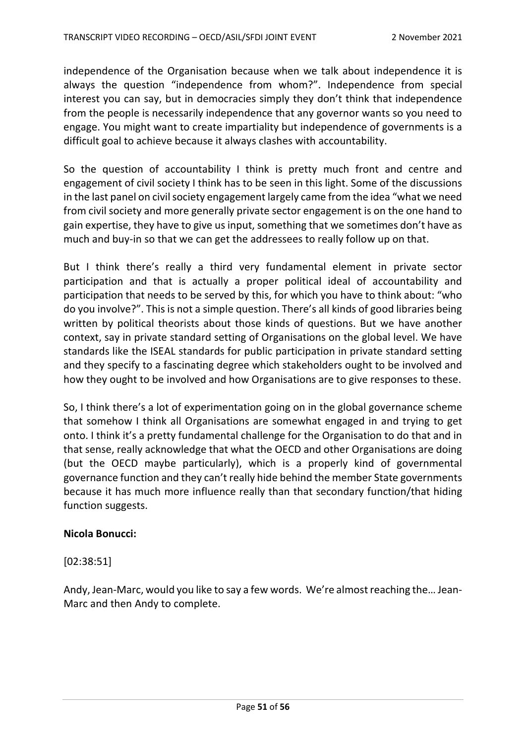independence of the Organisation because when we talk about independence it is always the question "independence from whom?". Independence from special interest you can say, but in democracies simply they don't think that independence from the people is necessarily independence that any governor wants so you need to engage. You might want to create impartiality but independence of governments is a difficult goal to achieve because it always clashes with accountability.

So the question of accountability I think is pretty much front and centre and engagement of civil society I think has to be seen in this light. Some of the discussions in the last panel on civil society engagement largely came from the idea "what we need from civil society and more generally private sector engagement is on the one hand to gain expertise, they have to give us input, something that we sometimes don't have as much and buy-in so that we can get the addressees to really follow up on that.

But I think there's really a third very fundamental element in private sector participation and that is actually a proper political ideal of accountability and participation that needs to be served by this, for which you have to think about: "who do you involve?". This is not a simple question. There's all kinds of good libraries being written by political theorists about those kinds of questions. But we have another context, say in private standard setting of Organisations on the global level. We have standards like the ISEAL standards for public participation in private standard setting and they specify to a fascinating degree which stakeholders ought to be involved and how they ought to be involved and how Organisations are to give responses to these.

So, I think there's a lot of experimentation going on in the global governance scheme that somehow I think all Organisations are somewhat engaged in and trying to get onto. I think it's a pretty fundamental challenge for the Organisation to do that and in that sense, really acknowledge that what the OECD and other Organisations are doing (but the OECD maybe particularly), which is a properly kind of governmental governance function and they can't really hide behind the member State governments because it has much more influence really than that secondary function/that hiding function suggests.

### **Nicola Bonucci:**

[02:38:51]

Andy, Jean-Marc, would you like to say a few words. We're almost reaching the…Jean-Marc and then Andy to complete.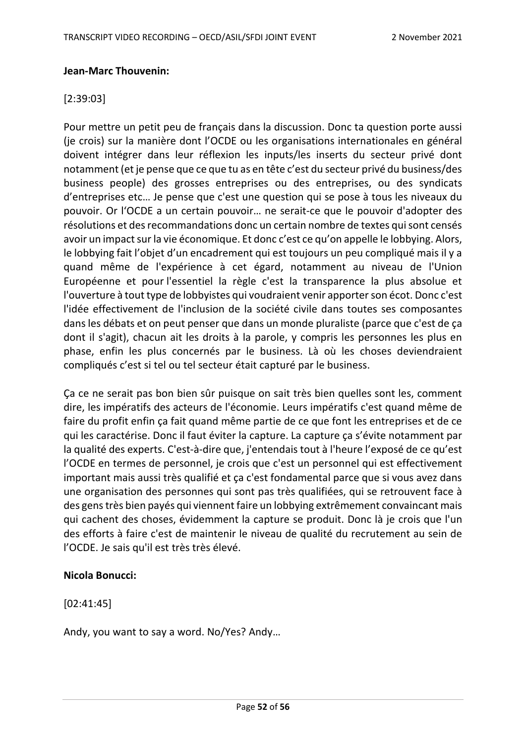### **Jean-Marc Thouvenin:**

## [2:39:03]

Pour mettre un petit peu de français dans la discussion. Donc ta question porte aussi (je crois) sur la manière dont l'OCDE ou les organisations internationales en général doivent intégrer dans leur réflexion les inputs/les inserts du secteur privé dont notamment (et je pense que ce que tu as en tête c'est du secteur privé du business/des business people) des grosses entreprises ou des entreprises, ou des syndicats d'entreprises etc… Je pense que c'est une question qui se pose à tous les niveaux du pouvoir. Or l'OCDE a un certain pouvoir… ne serait-ce que le pouvoir d'adopter des résolutions et des recommandations donc un certain nombre de textes qui sont censés avoir un impact sur la vie économique. Et donc c'est ce qu'on appelle le lobbying. Alors, le lobbying fait l'objet d'un encadrement qui est toujours un peu compliqué mais il y a quand même de l'expérience à cet égard, notamment au niveau de l'Union Européenne et pour l'essentiel la règle c'est la transparence la plus absolue et l'ouverture à tout type de lobbyistes qui voudraient venir apporter son écot. Donc c'est l'idée effectivement de l'inclusion de la société civile dans toutes ses composantes dans les débats et on peut penser que dans un monde pluraliste (parce que c'est de ça dont il s'agit), chacun ait les droits à la parole, y compris les personnes les plus en phase, enfin les plus concernés par le business. Là où les choses deviendraient compliqués c'est si tel ou tel secteur était capturé par le business.

Ça ce ne serait pas bon bien sûr puisque on sait très bien quelles sont les, comment dire, les impératifs des acteurs de l'économie. Leurs impératifs c'est quand même de faire du profit enfin ça fait quand même partie de ce que font les entreprises et de ce qui les caractérise. Donc il faut éviter la capture. La capture ça s'évite notamment par la qualité des experts. C'est-à-dire que, j'entendais tout à l'heure l'exposé de ce qu'est l'OCDE en termes de personnel, je crois que c'est un personnel qui est effectivement important mais aussi très qualifié et ça c'est fondamental parce que si vous avez dans une organisation des personnes qui sont pas très qualifiées, qui se retrouvent face à des gens très bien payés qui viennent faire un lobbying extrêmement convaincant mais qui cachent des choses, évidemment la capture se produit. Donc là je crois que l'un des efforts à faire c'est de maintenir le niveau de qualité du recrutement au sein de l'OCDE. Je sais qu'il est très très élevé.

### **Nicola Bonucci:**

[02:41:45]

Andy, you want to say a word. No/Yes? Andy…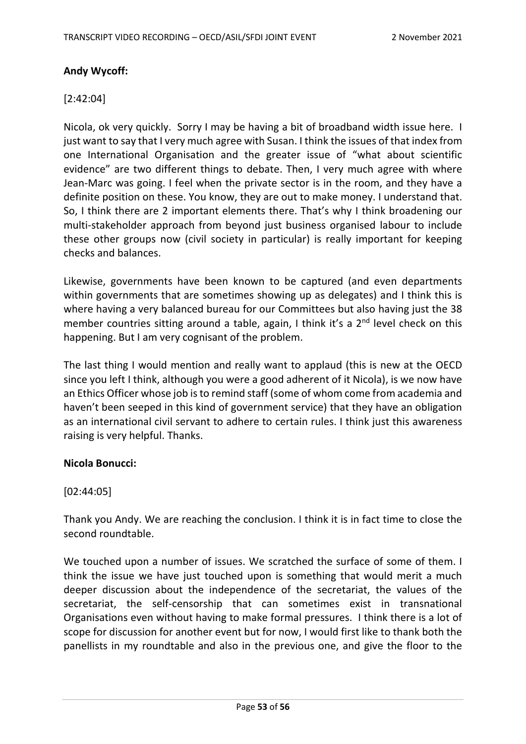## **Andy Wycoff:**

## [2:42:04]

Nicola, ok very quickly. Sorry I may be having a bit of broadband width issue here. I just want to say that I very much agree with Susan. I think the issues of that index from one International Organisation and the greater issue of "what about scientific evidence" are two different things to debate. Then, I very much agree with where Jean-Marc was going. I feel when the private sector is in the room, and they have a definite position on these. You know, they are out to make money. I understand that. So, I think there are 2 important elements there. That's why I think broadening our multi-stakeholder approach from beyond just business organised labour to include these other groups now (civil society in particular) is really important for keeping checks and balances.

Likewise, governments have been known to be captured (and even departments within governments that are sometimes showing up as delegates) and I think this is where having a very balanced bureau for our Committees but also having just the 38 member countries sitting around a table, again, I think it's a 2<sup>nd</sup> level check on this happening. But I am very cognisant of the problem.

The last thing I would mention and really want to applaud (this is new at the OECD since you left I think, although you were a good adherent of it Nicola), is we now have an Ethics Officer whose job is to remind staff (some of whom come from academia and haven't been seeped in this kind of government service) that they have an obligation as an international civil servant to adhere to certain rules. I think just this awareness raising is very helpful. Thanks.

### **Nicola Bonucci:**

### [02:44:05]

Thank you Andy. We are reaching the conclusion. I think it is in fact time to close the second roundtable.

We touched upon a number of issues. We scratched the surface of some of them. I think the issue we have just touched upon is something that would merit a much deeper discussion about the independence of the secretariat, the values of the secretariat, the self-censorship that can sometimes exist in transnational Organisations even without having to make formal pressures. I think there is a lot of scope for discussion for another event but for now, I would first like to thank both the panellists in my roundtable and also in the previous one, and give the floor to the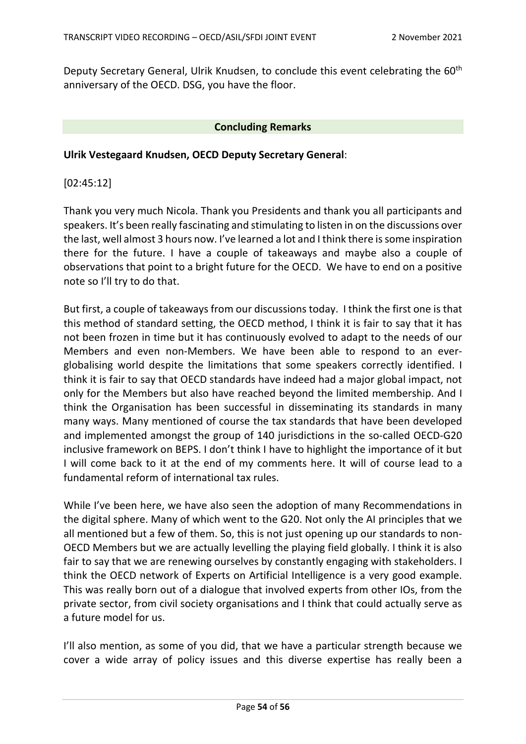Deputy Secretary General, Ulrik Knudsen, to conclude this event celebrating the 60<sup>th</sup> anniversary of the OECD. DSG, you have the floor.

#### **Concluding Remarks**

#### **Ulrik Vestegaard Knudsen, OECD Deputy Secretary General**:

[02:45:12]

Thank you very much Nicola. Thank you Presidents and thank you all participants and speakers. It's been really fascinating and stimulating to listen in on the discussions over the last, well almost 3 hours now. I've learned a lot and I think there is some inspiration there for the future. I have a couple of takeaways and maybe also a couple of observations that point to a bright future for the OECD. We have to end on a positive note so I'll try to do that.

But first, a couple of takeaways from our discussions today. I think the first one is that this method of standard setting, the OECD method, I think it is fair to say that it has not been frozen in time but it has continuously evolved to adapt to the needs of our Members and even non-Members. We have been able to respond to an everglobalising world despite the limitations that some speakers correctly identified. I think it is fair to say that OECD standards have indeed had a major global impact, not only for the Members but also have reached beyond the limited membership. And I think the Organisation has been successful in disseminating its standards in many many ways. Many mentioned of course the tax standards that have been developed and implemented amongst the group of 140 jurisdictions in the so-called OECD-G20 inclusive framework on BEPS. I don't think I have to highlight the importance of it but I will come back to it at the end of my comments here. It will of course lead to a fundamental reform of international tax rules.

While I've been here, we have also seen the adoption of many Recommendations in the digital sphere. Many of which went to the G20. Not only the AI principles that we all mentioned but a few of them. So, this is not just opening up our standards to non-OECD Members but we are actually levelling the playing field globally. I think it is also fair to say that we are renewing ourselves by constantly engaging with stakeholders. I think the OECD network of Experts on Artificial Intelligence is a very good example. This was really born out of a dialogue that involved experts from other IOs, from the private sector, from civil society organisations and I think that could actually serve as a future model for us.

I'll also mention, as some of you did, that we have a particular strength because we cover a wide array of policy issues and this diverse expertise has really been a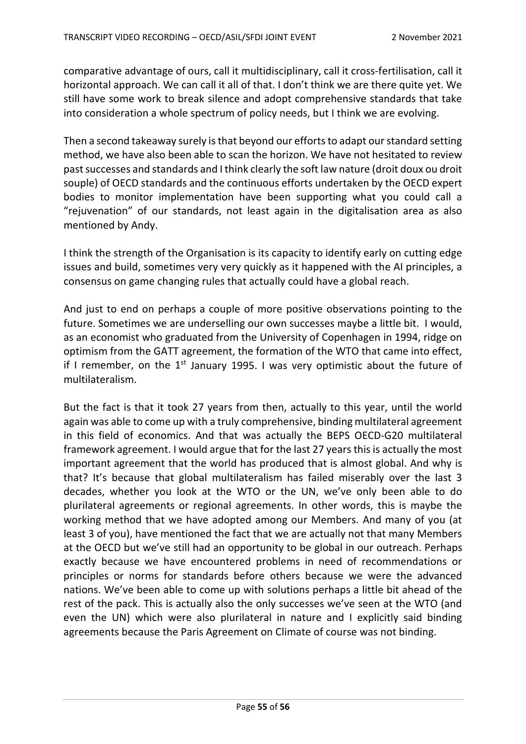comparative advantage of ours, call it multidisciplinary, call it cross-fertilisation, call it horizontal approach. We can call it all of that. I don't think we are there quite yet. We still have some work to break silence and adopt comprehensive standards that take into consideration a whole spectrum of policy needs, but I think we are evolving.

Then a second takeaway surely is that beyond our efforts to adapt our standard setting method, we have also been able to scan the horizon. We have not hesitated to review past successes and standards and I think clearly the soft law nature (droit doux ou droit souple) of OECD standards and the continuous efforts undertaken by the OECD expert bodies to monitor implementation have been supporting what you could call a "rejuvenation" of our standards, not least again in the digitalisation area as also mentioned by Andy.

I think the strength of the Organisation is its capacity to identify early on cutting edge issues and build, sometimes very very quickly as it happened with the AI principles, a consensus on game changing rules that actually could have a global reach.

And just to end on perhaps a couple of more positive observations pointing to the future. Sometimes we are underselling our own successes maybe a little bit. I would, as an economist who graduated from the University of Copenhagen in 1994, ridge on optimism from the GATT agreement, the formation of the WTO that came into effect, if I remember, on the  $1<sup>st</sup>$  January 1995. I was very optimistic about the future of multilateralism.

But the fact is that it took 27 years from then, actually to this year, until the world again was able to come up with a truly comprehensive, binding multilateral agreement in this field of economics. And that was actually the BEPS OECD-G20 multilateral framework agreement. I would argue that for the last 27 years this is actually the most important agreement that the world has produced that is almost global. And why is that? It's because that global multilateralism has failed miserably over the last 3 decades, whether you look at the WTO or the UN, we've only been able to do plurilateral agreements or regional agreements. In other words, this is maybe the working method that we have adopted among our Members. And many of you (at least 3 of you), have mentioned the fact that we are actually not that many Members at the OECD but we've still had an opportunity to be global in our outreach. Perhaps exactly because we have encountered problems in need of recommendations or principles or norms for standards before others because we were the advanced nations. We've been able to come up with solutions perhaps a little bit ahead of the rest of the pack. This is actually also the only successes we've seen at the WTO (and even the UN) which were also plurilateral in nature and I explicitly said binding agreements because the Paris Agreement on Climate of course was not binding.